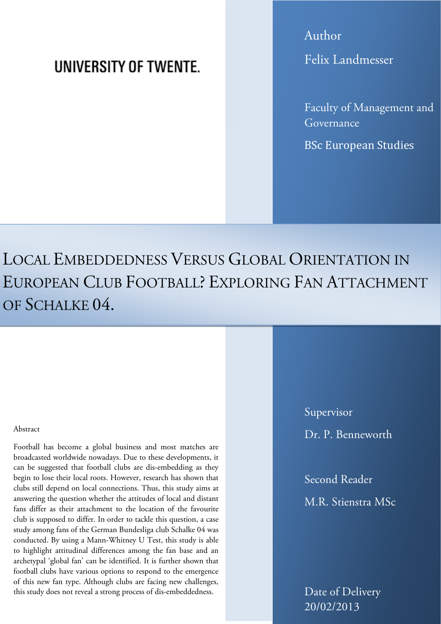# UNIVERSITY OF TWENTE.

Author Felix Landmesser

Faculty of Management and Governance

BSc European Studies

LOCAL EMBEDDEDNESS VERSUS GLOBAL ORIENTATION IN EUROPEAN CLUB FOOTBALL? EXPLORING FAN ATTACHMENT OF SCHALKE 04.

#### Abstract

Football has become a global business and most matches are broadcasted worldwide nowadays. Due to these developments, it can be suggested that football clubs are dis-embedding as they begin to lose their local roots. However, research has shown that clubs still depend on local connections. Thus, this study aims at answering the question whether the attitudes of local and distant fans differ as their attachment to the location of the favourite club is supposed to differ. In order to tackle this question, a case study among fans of the German Bundesliga club Schalke 04 was conducted. By using a Mann-Whitney U Test, this study is able to highlight attitudinal differences among the fan base and an archetypal 'global fan' can be identified. It is further shown that football clubs have various options to respond to the emergence of this new fan type. Although clubs are facing new challenges, this study does not reveal a strong process of dis-embeddedness.

Supervisor Dr. P. Benneworth

Second Reader M.R. Stienstra MSc

Date of Delivery 20/02/2013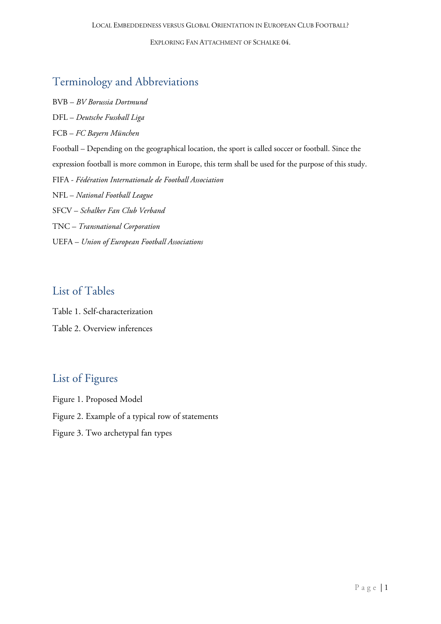# Terminology and Abbreviations

BVB – *BV Borussia Dortmund* DFL – *Deutsche Fussball Liga* FCB – *FC Bayern München* Football – Depending on the geographical location, the sport is called soccer or football. Since the expression football is more common in Europe, this term shall be used for the purpose of this study. FIFA - *[Fédération Internationale de Football Association](http://www.google.com/url?sa=t&rct=j&q=&esrc=s&source=web&cd=1&ved=0CG8QFjAA&url=http%3A%2F%2Fde.fifa.com%2F&ei=JhIpUKCgC47ktQaD9IGICA&usg=AFQjCNF4JRoVpYHggQrAvB80upVi7Mwnhw&sig2=yVXECX-8GMbwJVGFx4XDUA)* NFL – *National Football League* SFCV – *Schalker Fan Club Verband* TNC *– Transnational Corporation* UEFA – *Union of European Football Associations*

## List of Tables

Table 1. Self-characterization Table 2. Overview inferences

### List of Figures

- Figure 1. Proposed Model
- Figure 2. Example of a typical row of statements
- Figure 3. Two archetypal fan types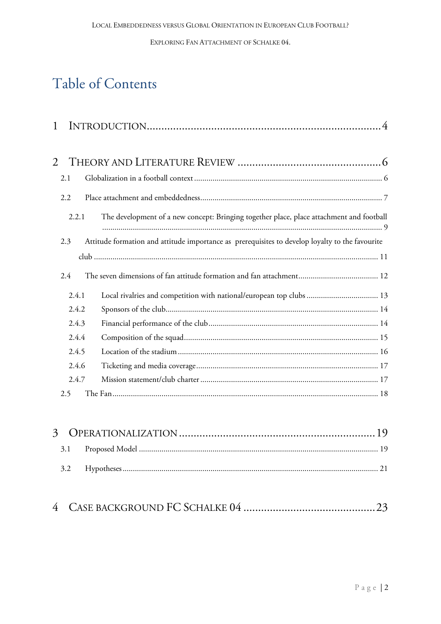# Table of Contents

| 1     |                                                                                                 |
|-------|-------------------------------------------------------------------------------------------------|
| 2     |                                                                                                 |
| 2.1   |                                                                                                 |
| 2.2   |                                                                                                 |
| 2.2.1 | The development of a new concept: Bringing together place, place attachment and football        |
| 2.3   | Attitude formation and attitude importance as prerequisites to develop loyalty to the favourite |
|       |                                                                                                 |
| 2.4   |                                                                                                 |
| 2.4.1 | Local rivalries and competition with national/european top clubs  13                            |
| 2.4.2 |                                                                                                 |
| 2.4.3 |                                                                                                 |
| 2.4.4 |                                                                                                 |
| 2.4.5 |                                                                                                 |
| 2.4.6 |                                                                                                 |
| 2.4.7 |                                                                                                 |
| 2.5   |                                                                                                 |

# 4 CASE BACKGROUND FC SCHALKE 04 [.............................................23](#page-23-0)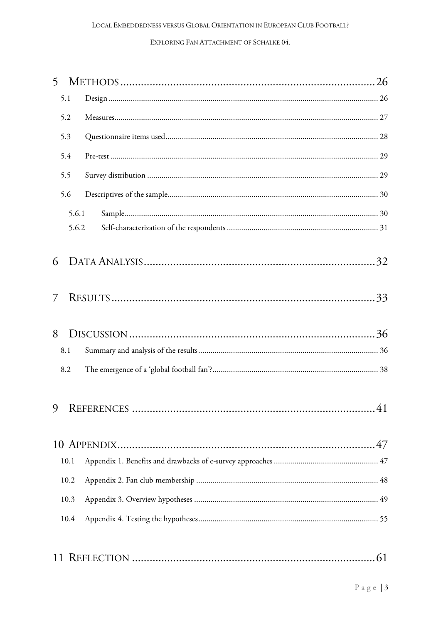| 5  |       |  |
|----|-------|--|
|    | 5.1   |  |
|    | 5.2   |  |
|    | 5.3   |  |
|    | 5.4   |  |
|    | 5.5   |  |
|    | 5.6   |  |
|    | 5.6.1 |  |
|    | 5.6.2 |  |
|    |       |  |
| 6  |       |  |
|    |       |  |
| 7  |       |  |
| 8  |       |  |
|    | 8.1   |  |
|    | 8.2   |  |
|    |       |  |
|    |       |  |
|    |       |  |
|    |       |  |
|    | 10.1  |  |
|    | 10.2  |  |
|    | 10.3  |  |
|    | 10.4  |  |
|    |       |  |
| 11 |       |  |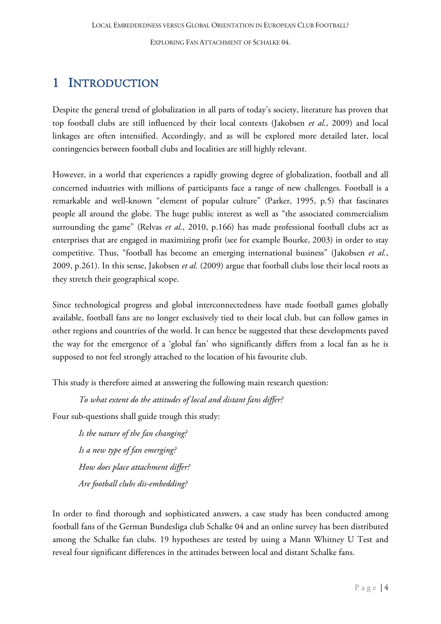# <span id="page-4-0"></span>1 INTRODUCTION

Despite the general trend of globalization in all parts of today's society, literature has proven that top football clubs are still influenced by their local contexts (Jakobsen *et al.*, 2009) and local linkages are often intensified. Accordingly, and as will be explored more detailed later, local contingencies between football clubs and localities are still highly relevant.

However, in a world that experiences a rapidly growing degree of globalization, football and all concerned industries with millions of participants face a range of new challenges. Football is a remarkable and well-known "element of popular culture" (Parker, 1995, p.5) that fascinates people all around the globe. The huge public interest as well as "the associated commercialism surrounding the game" (Relvas *et al.*, 2010, p.166) has made professional football clubs act as enterprises that are engaged in maximizing profit (see for example Bourke, 2003) in order to stay competitive. Thus, "football has become an emerging international business" (Jakobsen *et al.*, 2009, p.261). In this sense, Jakobsen *et al.* (2009) argue that football clubs lose their local roots as they stretch their geographical scope.

Since technological progress and global interconnectedness have made football games globally available, football fans are no longer exclusively tied to their local club, but can follow games in other regions and countries of the world. It can hence be suggested that these developments paved the way for the emergence of a 'global fan' who significantly differs from a local fan as he is supposed to not feel strongly attached to the location of his favourite club.

This study is therefore aimed at answering the following main research question:

*To what extent do the attitudes of local and distant fans differ?*

Four sub-questions shall guide trough this study:

*Is the nature of the fan changing? Is a new type of fan emerging? How does place attachment differ? Are football clubs dis-embedding?*

In order to find thorough and sophisticated answers, a case study has been conducted among football fans of the German Bundesliga club Schalke 04 and an online survey has been distributed among the Schalke fan clubs. 19 hypotheses are tested by using a Mann Whitney U Test and reveal four significant differences in the attitudes between local and distant Schalke fans.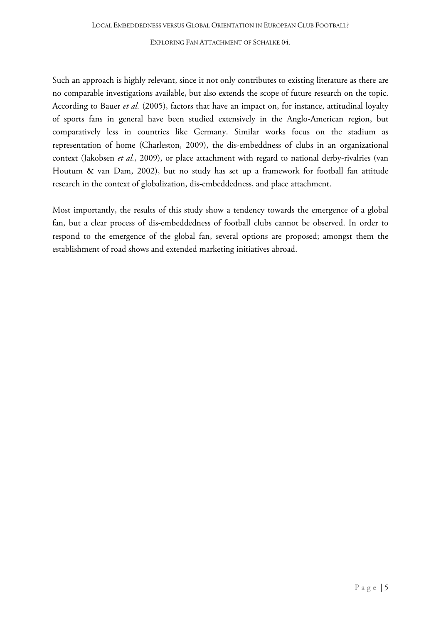Such an approach is highly relevant, since it not only contributes to existing literature as there are no comparable investigations available, but also extends the scope of future research on the topic. According to Bauer *et al.* (2005), factors that have an impact on, for instance, attitudinal loyalty of sports fans in general have been studied extensively in the Anglo-American region, but comparatively less in countries like Germany. Similar works focus on the stadium as representation of home (Charleston, 2009), the dis-embeddness of clubs in an organizational context (Jakobsen *et al.*, 2009), or place attachment with regard to national derby-rivalries (van Houtum & van Dam, 2002), but no study has set up a framework for football fan attitude research in the context of globalization, dis-embeddedness, and place attachment.

Most importantly, the results of this study show a tendency towards the emergence of a global fan, but a clear process of dis-embeddedness of football clubs cannot be observed. In order to respond to the emergence of the global fan, several options are proposed; amongst them the establishment of road shows and extended marketing initiatives abroad.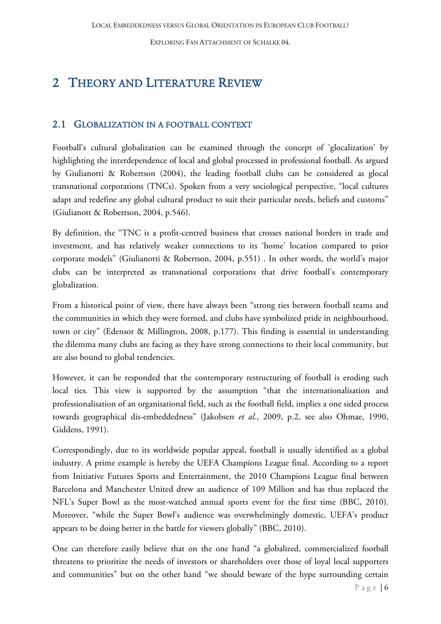# <span id="page-6-0"></span>2 THEORY AND LITERATURE REVIEW

### <span id="page-6-1"></span>2.1 GLOBALIZATION IN A FOOTBALL CONTEXT

Football's cultural globalization can be examined through the concept of 'glocalization' by highlighting the interdependence of local and global processed in professional football. As argued by Giulianotti & Robertson (2004), the leading football clubs can be considered as glocal transnational corporations (TNCs). Spoken from a very sociological perspective, "local cultures adapt and redefine any global cultural product to suit their particular needs, beliefs and customs" (Giulianott & Robertson, 2004, p.546).

By definition, the "TNC is a profit-centred business that crosses national borders in trade and investment, and has relatively weaker connections to its 'home' location compared to prior corporate models" (Giulianotti & Robertson, 2004, p.551) . In other words, the world's major clubs can be interpreted as transnational corporations that drive football's contemporary globalization.

From a historical point of view, there have always been "strong ties between football teams and the communities in which they were formed, and clubs have symbolized pride in neighbourhood, town or city" (Edensor & Millington, 2008, p.177). This finding is essential in understanding the dilemma many clubs are facing as they have strong connections to their local community, but are also bound to global tendencies.

However, it can be responded that the contemporary restructuring of football is eroding such local ties. This view is supported by the assumption "that the internationalisation and professionalisation of an organisational field, such as the football field, implies a one sided process towards geographical dis-embeddedness" (Jakobsen *et al.*, 2009, p.2, see also Ohmae, 1990, Giddens, 1991).

Correspondingly, due to its worldwide popular appeal, football is usually identified as a global industry. A prime example is hereby the UEFA Champions League final. According to a report from Initiative Futures Sports and Entertainment, the 2010 Champions League final between Barcelona and Manchester United drew an audience of 109 Million and has thus replaced the NFL's Super Bowl as the most-watched annual sports event for the first time (BBC, 2010). Moreover, "while the Super Bowl's audience was overwhelmingly domestic, UEFA's product appears to be doing better in the battle for viewers globally" (BBC, 2010).

One can therefore easily believe that on the one hand "a globalized, commercialized football threatens to prioritize the needs of investors or shareholders over those of loyal local supporters and communities" but on the other hand "we should beware of the hype surrounding certain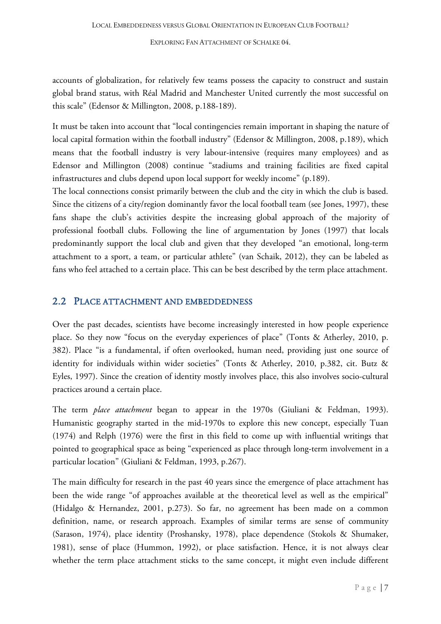accounts of globalization, for relatively few teams possess the capacity to construct and sustain global brand status, with Réal Madrid and Manchester United currently the most successful on this scale" (Edensor & Millington, 2008, p.188-189).

It must be taken into account that "local contingencies remain important in shaping the nature of local capital formation within the football industry" (Edensor & Millington, 2008, p.189), which means that the football industry is very labour-intensive (requires many employees) and as Edensor and Millington (2008) continue "stadiums and training facilities are fixed capital infrastructures and clubs depend upon local support for weekly income" (p.189).

The local connections consist primarily between the club and the city in which the club is based. Since the citizens of a city/region dominantly favor the local football team (see Jones, 1997), these fans shape the club's activities despite the increasing global approach of the majority of professional football clubs. Following the line of argumentation by Jones (1997) that locals predominantly support the local club and given that they developed "an emotional, long-term attachment to a sport, a team, or particular athlete" (van Schaik, 2012), they can be labeled as fans who feel attached to a certain place. This can be best described by the term place attachment.

### <span id="page-7-0"></span>2.2 PLACE ATTACHMENT AND EMBEDDEDNESS

Over the past decades, scientists have become increasingly interested in how people experience place. So they now "focus on the everyday experiences of place" (Tonts & Atherley, 2010, p. 382). Place "is a fundamental, if often overlooked, human need, providing just one source of identity for individuals within wider societies" (Tonts & Atherley, 2010, p.382, cit. Butz & Eyles, 1997). Since the creation of identity mostly involves place, this also involves socio-cultural practices around a certain place.

The term *place attachment* began to appear in the 1970s (Giuliani & Feldman, 1993). Humanistic geography started in the mid-1970s to explore this new concept, especially Tuan (1974) and Relph (1976) were the first in this field to come up with influential writings that pointed to geographical space as being "experienced as place through long-term involvement in a particular location" (Giuliani & Feldman, 1993, p.267).

The main difficulty for research in the past 40 years since the emergence of place attachment has been the wide range "of approaches available at the theoretical level as well as the empirical" (Hidalgo & Hernandez, 2001, p.273). So far, no agreement has been made on a common definition, name, or research approach. Examples of similar terms are sense of community (Sarason, 1974), place identity (Proshansky, 1978), place dependence (Stokols & Shumaker, 1981), sense of place (Hummon, 1992), or place satisfaction. Hence, it is not always clear whether the term place attachment sticks to the same concept, it might even include different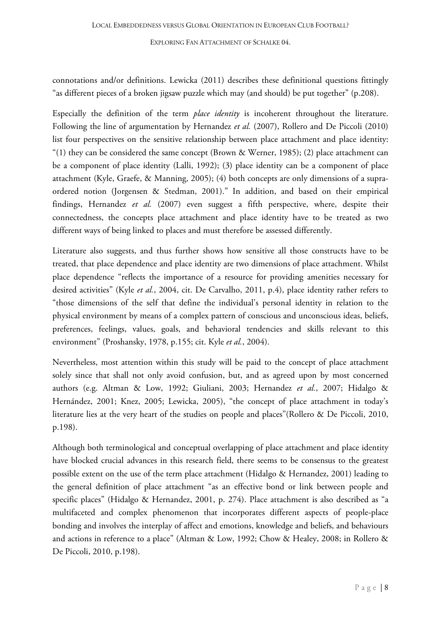connotations and/or definitions. Lewicka (2011) describes these definitional questions fittingly "as different pieces of a broken jigsaw puzzle which may (and should) be put together" (p.208).

Especially the definition of the term *place identity* is incoherent throughout the literature. Following the line of argumentation by Hernandez *et al.* (2007), Rollero and De Piccoli (2010) list four perspectives on the sensitive relationship between place attachment and place identity: "(1) they can be considered the same concept (Brown & Werner, 1985); (2) place attachment can be a component of place identity (Lalli, 1992); (3) place identity can be a component of place attachment (Kyle, Graefe, & Manning, 2005); (4) both concepts are only dimensions of a supraordered notion (Jorgensen & Stedman, 2001)." In addition, and based on their empirical findings, Hernandez *et al.* (2007) even suggest a fifth perspective, where, despite their connectedness, the concepts place attachment and place identity have to be treated as two different ways of being linked to places and must therefore be assessed differently.

Literature also suggests, and thus further shows how sensitive all those constructs have to be treated, that place dependence and place identity are two dimensions of place attachment. Whilst place dependence "reflects the importance of a resource for providing amenities necessary for desired activities" (Kyle *et al.*, 2004, cit. De Carvalho, 2011, p.4), place identity rather refers to "those dimensions of the self that define the individual's personal identity in relation to the physical environment by means of a complex pattern of conscious and unconscious ideas, beliefs, preferences, feelings, values, goals, and behavioral tendencies and skills relevant to this environment" (Proshansky, 1978, p.155; cit. Kyle *et al.*, 2004).

Nevertheless, most attention within this study will be paid to the concept of place attachment solely since that shall not only avoid confusion, but, and as agreed upon by most concerned authors (e.g. Altman & Low, 1992; Giuliani, 2003; Hernandez *et al.*, 2007; Hidalgo & Hernández, 2001; Knez, 2005; Lewicka, 2005), "the concept of place attachment in today's literature lies at the very heart of the studies on people and places"(Rollero & De Piccoli, 2010, p.198).

Although both terminological and conceptual overlapping of place attachment and place identity have blocked crucial advances in this research field, there seems to be consensus to the greatest possible extent on the use of the term place attachment (Hidalgo & Hernandez, 2001) leading to the general definition of place attachment "as an effective bond or link between people and specific places" (Hidalgo & Hernandez, 2001, p. 274). Place attachment is also described as "a multifaceted and complex phenomenon that incorporates different aspects of people-place bonding and involves the interplay of affect and emotions, knowledge and beliefs, and behaviours and actions in reference to a place" (Altman & Low, 1992; Chow & Healey, 2008; in Rollero & De Piccoli, 2010, p.198).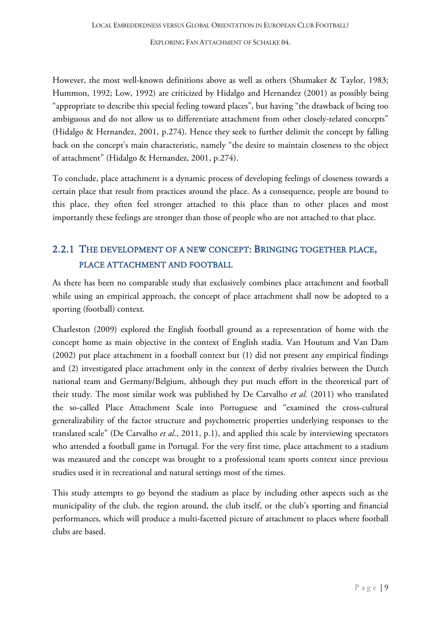However, the most well-known definitions above as well as others (Shumaker & Taylor, 1983; Hummon, 1992; Low, 1992) are criticized by Hidalgo and Hernandez (2001) as possibly being "appropriate to describe this special feeling toward places", but having "the drawback of being too ambiguous and do not allow us to differentiate attachment from other closely-related concepts" (Hidalgo & Hernandez, 2001, p.274). Hence they seek to further delimit the concept by falling back on the concept's main characteristic, namely "the desire to maintain closeness to the object of attachment" (Hidalgo & Hernandez, 2001, p.274).

To conclude, place attachment is a dynamic process of developing feelings of closeness towards a certain place that result from practices around the place. As a consequence, people are bound to this place, they often feel stronger attached to this place than to other places and most importantly these feelings are stronger than those of people who are not attached to that place.

## <span id="page-9-0"></span>2.2.1 THE DEVELOPMENT OF A NEW CONCEPT: BRINGING TOGETHER PLACE, PLACE ATTACHMENT AND FOOTBALL

As there has been no comparable study that exclusively combines place attachment and football while using an empirical approach, the concept of place attachment shall now be adopted to a sporting (football) context.

Charleston (2009) explored the English football ground as a representation of home with the concept home as main objective in the context of English stadia. Van Houtum and Van Dam (2002) put place attachment in a football context but (1) did not present any empirical findings and (2) investigated place attachment only in the context of derby rivalries between the Dutch national team and Germany/Belgium, although they put much effort in the theoretical part of their study. The most similar work was published by De Carvalho *et al.* (2011) who translated the so-called Place Attachment Scale into Portuguese and "examined the cross-cultural generalizability of the factor structure and psychometric properties underlying responses to the translated scale" (De Carvalho *et al*., 2011, p.1), and applied this scale by interviewing spectators who attended a football game in Portugal. For the very first time, place attachment to a stadium was measured and the concept was brought to a professional team sports context since previous studies used it in recreational and natural settings most of the times.

This study attempts to go beyond the stadium as place by including other aspects such as the municipality of the club, the region around, the club itself, or the club's sporting and financial performances, which will produce a multi-facetted picture of attachment to places where football clubs are based.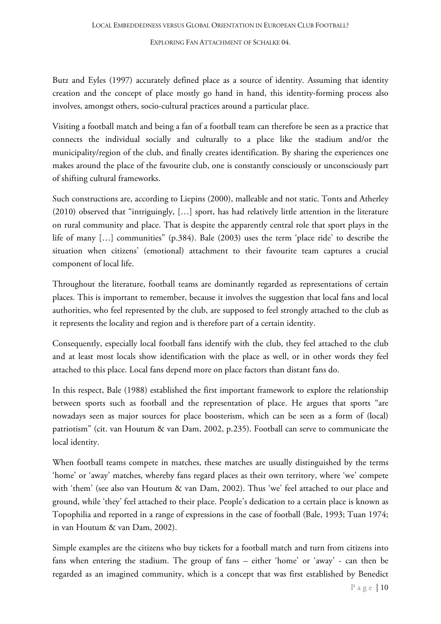Butz and Eyles (1997) accurately defined place as a source of identity. Assuming that identity creation and the concept of place mostly go hand in hand, this identity-forming process also involves, amongst others, socio-cultural practices around a particular place.

Visiting a football match and being a fan of a football team can therefore be seen as a practice that connects the individual socially and culturally to a place like the stadium and/or the municipality/region of the club, and finally creates identification. By sharing the experiences one makes around the place of the favourite club, one is constantly consciously or unconsciously part of shifting cultural frameworks.

Such constructions are, according to Liepins (2000), malleable and not static. Tonts and Atherley (2010) observed that "intriguingly, […] sport, has had relatively little attention in the literature on rural community and place. That is despite the apparently central role that sport plays in the life of many […] communities" (p.384). Bale (2003) uses the term 'place ride' to describe the situation when citizens' (emotional) attachment to their favourite team captures a crucial component of local life.

Throughout the literature, football teams are dominantly regarded as representations of certain places. This is important to remember, because it involves the suggestion that local fans and local authorities, who feel represented by the club, are supposed to feel strongly attached to the club as it represents the locality and region and is therefore part of a certain identity.

Consequently, especially local football fans identify with the club, they feel attached to the club and at least most locals show identification with the place as well, or in other words they feel attached to this place. Local fans depend more on place factors than distant fans do.

In this respect, Bale (1988) established the first important framework to explore the relationship between sports such as football and the representation of place. He argues that sports "are nowadays seen as major sources for place boosterism, which can be seen as a form of (local) patriotism" (cit. van Houtum & van Dam, 2002, p.235). Football can serve to communicate the local identity.

When football teams compete in matches, these matches are usually distinguished by the terms 'home' or 'away' matches, whereby fans regard places as their own territory, where 'we' compete with 'them' (see also van Houtum & van Dam, 2002). Thus 'we' feel attached to our place and ground, while 'they' feel attached to their place. People's dedication to a certain place is known as Topophilia and reported in a range of expressions in the case of football (Bale, 1993; Tuan 1974; in van Houtum & van Dam, 2002).

Simple examples are the citizens who buy tickets for a football match and turn from citizens into fans when entering the stadium. The group of fans – either 'home' or 'away' - can then be regarded as an imagined community, which is a concept that was first established by Benedict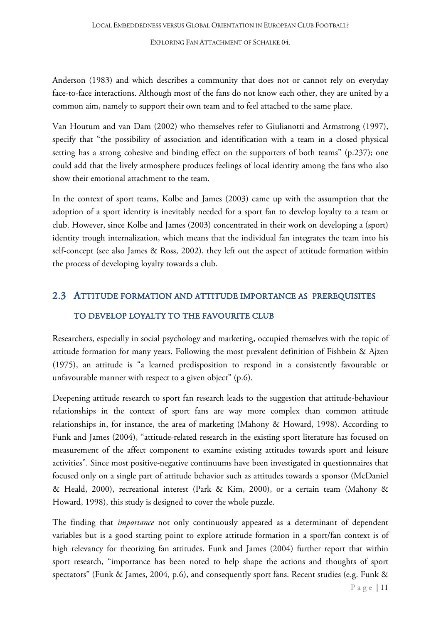Anderson (1983) and which describes a community that does not or cannot rely on everyday face-to-face interactions. Although most of the fans do not know each other, they are united by a common aim, namely to support their own team and to feel attached to the same place.

Van Houtum and van Dam (2002) who themselves refer to Giulianotti and Armstrong (1997), specify that "the possibility of association and identification with a team in a closed physical setting has a strong cohesive and binding effect on the supporters of both teams" (p.237); one could add that the lively atmosphere produces feelings of local identity among the fans who also show their emotional attachment to the team.

In the context of sport teams, Kolbe and James (2003) came up with the assumption that the adoption of a sport identity is inevitably needed for a sport fan to develop loyalty to a team or club. However, since Kolbe and James (2003) concentrated in their work on developing a (sport) identity trough internalization, which means that the individual fan integrates the team into his self-concept (see also James & Ross, 2002), they left out the aspect of attitude formation within the process of developing loyalty towards a club.

# <span id="page-11-0"></span>2.3 ATTITUDE FORMATION AND ATTITUDE IMPORTANCE AS PREREQUISITES TO DEVELOP LOYALTY TO THE FAVOURITE CLUB

Researchers, especially in social psychology and marketing, occupied themselves with the topic of attitude formation for many years. Following the most prevalent definition of Fishbein & Ajzen (1975), an attitude is "a learned predisposition to respond in a consistently favourable or unfavourable manner with respect to a given object" (p.6).

Deepening attitude research to sport fan research leads to the suggestion that attitude-behaviour relationships in the context of sport fans are way more complex than common attitude relationships in, for instance, the area of marketing (Mahony & Howard, 1998). According to Funk and James (2004), "attitude-related research in the existing sport literature has focused on measurement of the affect component to examine existing attitudes towards sport and leisure activities". Since most positive-negative continuums have been investigated in questionnaires that focused only on a single part of attitude behavior such as attitudes towards a sponsor (McDaniel & Heald, 2000), recreational interest (Park & Kim, 2000), or a certain team (Mahony & Howard, 1998), this study is designed to cover the whole puzzle.

The finding that *importance* not only continuously appeared as a determinant of dependent variables but is a good starting point to explore attitude formation in a sport/fan context is of high relevancy for theorizing fan attitudes. Funk and James (2004) further report that within sport research, "importance has been noted to help shape the actions and thoughts of sport spectators" (Funk & James, 2004, p.6), and consequently sport fans. Recent studies (e.g. Funk &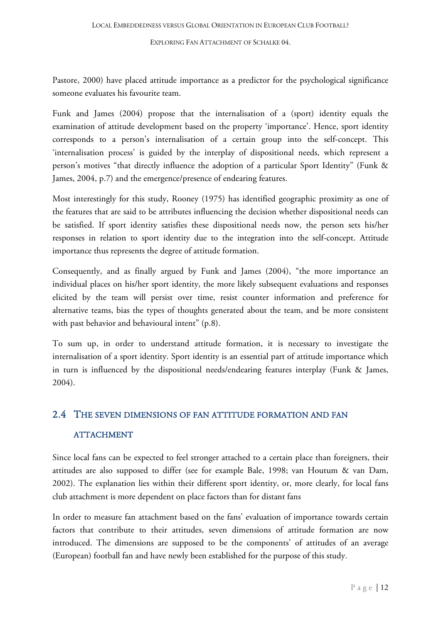Pastore, 2000) have placed attitude importance as a predictor for the psychological significance someone evaluates his favourite team.

Funk and James (2004) propose that the internalisation of a (sport) identity equals the examination of attitude development based on the property 'importance'. Hence, sport identity corresponds to a person's internalisation of a certain group into the self-concept. This 'internalisation process' is guided by the interplay of dispositional needs, which represent a person's motives "that directly influence the adoption of a particular Sport Identity" (Funk & James, 2004, p.7) and the emergence/presence of endearing features.

Most interestingly for this study, Rooney (1975) has identified geographic proximity as one of the features that are said to be attributes influencing the decision whether dispositional needs can be satisfied. If sport identity satisfies these dispositional needs now, the person sets his/her responses in relation to sport identity due to the integration into the self-concept. Attitude importance thus represents the degree of attitude formation.

Consequently, and as finally argued by Funk and James (2004), "the more importance an individual places on his/her sport identity, the more likely subsequent evaluations and responses elicited by the team will persist over time, resist counter information and preference for alternative teams, bias the types of thoughts generated about the team, and be more consistent with past behavior and behavioural intent" (p.8).

To sum up, in order to understand attitude formation, it is necessary to investigate the internalisation of a sport identity. Sport identity is an essential part of attitude importance which in turn is influenced by the dispositional needs/endearing features interplay (Funk & James, 2004).

# <span id="page-12-0"></span>2.4 THE SEVEN DIMENSIONS OF FAN ATTITUDE FORMATION AND FAN **ATTACHMENT**

Since local fans can be expected to feel stronger attached to a certain place than foreigners, their attitudes are also supposed to differ (see for example Bale, 1998; van Houtum & van Dam, 2002). The explanation lies within their different sport identity, or, more clearly, for local fans club attachment is more dependent on place factors than for distant fans

In order to measure fan attachment based on the fans' evaluation of importance towards certain factors that contribute to their attitudes, seven dimensions of attitude formation are now introduced. The dimensions are supposed to be the components' of attitudes of an average (European) football fan and have newly been established for the purpose of this study.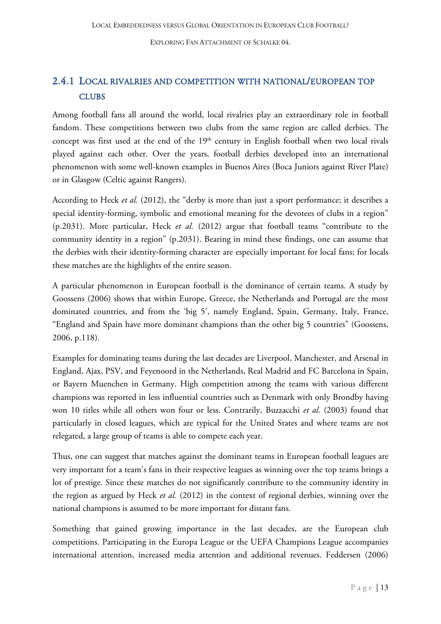## <span id="page-13-0"></span>2.4.1 LOCAL RIVALRIES AND COMPETITION WITH NATIONAL/EUROPEAN TOP **CLUBS**

Among football fans all around the world, local rivalries play an extraordinary role in football fandom. These competitions between two clubs from the same region are called derbies. The concept was first used at the end of the  $19<sup>th</sup>$  century in English football when two local rivals played against each other. Over the years, football derbies developed into an international phenomenon with some well-known examples in Buenos Aires (Boca Juniors against River Plate) or in Glasgow (Celtic against Rangers).

According to Heck *et al.* (2012), the "derby is more than just a sport performance; it describes a special identity-forming, symbolic and emotional meaning for the devotees of clubs in a region" (p.2031). More particular, Heck *et al.* (2012) argue that football teams "contribute to the community identity in a region" (p.2031). Bearing in mind these findings, one can assume that the derbies with their identity-forming character are especially important for local fans; for locals these matches are the highlights of the entire season.

A particular phenomenon in European football is the dominance of certain teams. A study by Goossens (2006) shows that within Europe, Greece, the Netherlands and Portugal are the most dominated countries, and from the 'big 5', namely England, Spain, Germany, Italy, France, "England and Spain have more dominant champions than the other big 5 countries" (Goossens, 2006, p.118).

Examples for dominating teams during the last decades are Liverpool, Manchester, and Arsenal in England, Ajax, PSV, and Feyenoord in the Netherlands, Real Madrid and FC Barcelona in Spain, or Bayern Muenchen in Germany. High competition among the teams with various different champions was reported in less influential countries such as Denmark with only Brondby having won 10 titles while all others won four or less. Contrarily, Buzzacchi *et al.* (2003) found that particularly in closed leagues, which are typical for the United States and where teams are not relegated, a large group of teams is able to compete each year.

Thus, one can suggest that matches against the dominant teams in European football leagues are very important for a team's fans in their respective leagues as winning over the top teams brings a lot of prestige. Since these matches do not significantly contribute to the community identity in the region as argued by Heck *et al.* (2012) in the context of regional derbies, winning over the national champions is assumed to be more important for distant fans.

Something that gained growing importance in the last decades, are the European club competitions. Participating in the Europa League or the UEFA Champions League accompanies international attention, increased media attention and additional revenues. Feddersen (2006)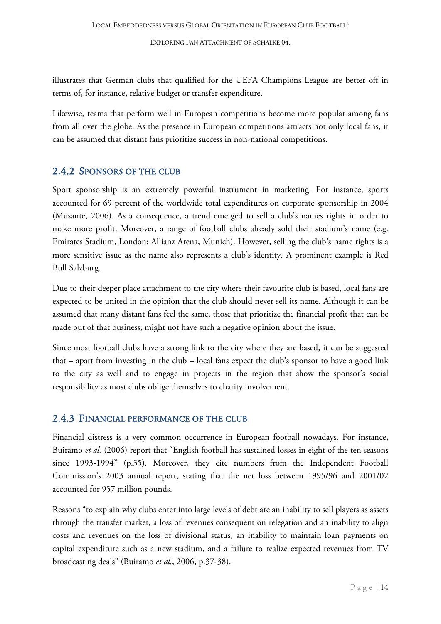illustrates that German clubs that qualified for the UEFA Champions League are better off in terms of, for instance, relative budget or transfer expenditure.

Likewise, teams that perform well in European competitions become more popular among fans from all over the globe. As the presence in European competitions attracts not only local fans, it can be assumed that distant fans prioritize success in non-national competitions.

### <span id="page-14-0"></span>2.4.2 SPONSORS OF THE CLUB

Sport sponsorship is an extremely powerful instrument in marketing. For instance, sports accounted for 69 percent of the worldwide total expenditures on corporate sponsorship in 2004 (Musante, 2006). As a consequence, a trend emerged to sell a club's names rights in order to make more profit. Moreover, a range of football clubs already sold their stadium's name (e.g. Emirates Stadium, London; Allianz Arena, Munich). However, selling the club's name rights is a more sensitive issue as the name also represents a club's identity. A prominent example is Red Bull Salzburg.

Due to their deeper place attachment to the city where their favourite club is based, local fans are expected to be united in the opinion that the club should never sell its name. Although it can be assumed that many distant fans feel the same, those that prioritize the financial profit that can be made out of that business, might not have such a negative opinion about the issue.

Since most football clubs have a strong link to the city where they are based, it can be suggested that – apart from investing in the club – local fans expect the club's sponsor to have a good link to the city as well and to engage in projects in the region that show the sponsor's social responsibility as most clubs oblige themselves to charity involvement.

### <span id="page-14-1"></span>2.4.3 FINANCIAL PERFORMANCE OF THE CLUB

Financial distress is a very common occurrence in European football nowadays. For instance, Buiramo *et al.* (2006) report that "English football has sustained losses in eight of the ten seasons since 1993-1994" (p.35). Moreover, they cite numbers from the Independent Football Commission's 2003 annual report, stating that the net loss between 1995/96 and 2001/02 accounted for 957 million pounds.

Reasons "to explain why clubs enter into large levels of debt are an inability to sell players as assets through the transfer market, a loss of revenues consequent on relegation and an inability to align costs and revenues on the loss of divisional status, an inability to maintain loan payments on capital expenditure such as a new stadium, and a failure to realize expected revenues from TV broadcasting deals" (Buiramo *et al.*, 2006, p.37-38).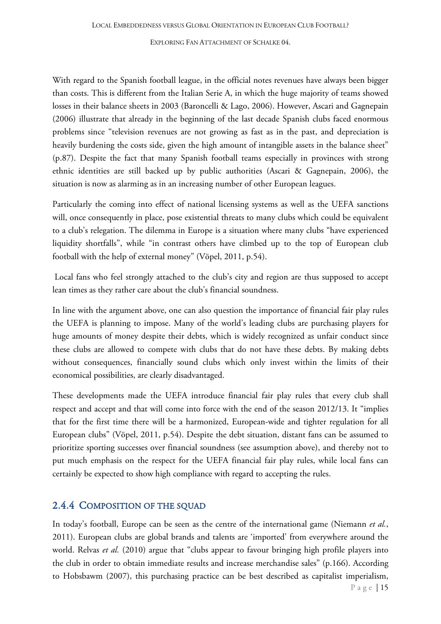With regard to the Spanish football league, in the official notes revenues have always been bigger than costs. This is different from the Italian Serie A, in which the huge majority of teams showed losses in their balance sheets in 2003 (Baroncelli & Lago, 2006). However, Ascari and Gagnepain (2006) illustrate that already in the beginning of the last decade Spanish clubs faced enormous problems since "television revenues are not growing as fast as in the past, and depreciation is heavily burdening the costs side, given the high amount of intangible assets in the balance sheet" (p.87). Despite the fact that many Spanish football teams especially in provinces with strong ethnic identities are still backed up by public authorities (Ascari & Gagnepain, 2006), the situation is now as alarming as in an increasing number of other European leagues.

Particularly the coming into effect of national licensing systems as well as the UEFA sanctions will, once consequently in place, pose existential threats to many clubs which could be equivalent to a club's relegation. The dilemma in Europe is a situation where many clubs "have experienced liquidity shortfalls", while "in contrast others have climbed up to the top of European club football with the help of external money" (Vöpel, 2011, p.54).

Local fans who feel strongly attached to the club's city and region are thus supposed to accept lean times as they rather care about the club's financial soundness.

In line with the argument above, one can also question the importance of financial fair play rules the UEFA is planning to impose. Many of the world's leading clubs are purchasing players for huge amounts of money despite their debts, which is widely recognized as unfair conduct since these clubs are allowed to compete with clubs that do not have these debts. By making debts without consequences, financially sound clubs which only invest within the limits of their economical possibilities, are clearly disadvantaged.

These developments made the UEFA introduce financial fair play rules that every club shall respect and accept and that will come into force with the end of the season 2012/13. It "implies that for the first time there will be a harmonized, European-wide and tighter regulation for all European clubs" (Vöpel, 2011, p.54). Despite the debt situation, distant fans can be assumed to prioritize sporting successes over financial soundness (see assumption above), and thereby not to put much emphasis on the respect for the UEFA financial fair play rules, while local fans can certainly be expected to show high compliance with regard to accepting the rules.

### <span id="page-15-0"></span>2.4.4 COMPOSITION OF THE SQUAD

Page  $|15$ In today's football, Europe can be seen as the centre of the international game (Niemann *et al.*, 2011). European clubs are global brands and talents are 'imported' from everywhere around the world. Relvas *et al.* (2010) argue that "clubs appear to favour bringing high profile players into the club in order to obtain immediate results and increase merchandise sales" (p.166). According to Hobsbawm (2007), this purchasing practice can be best described as capitalist imperialism,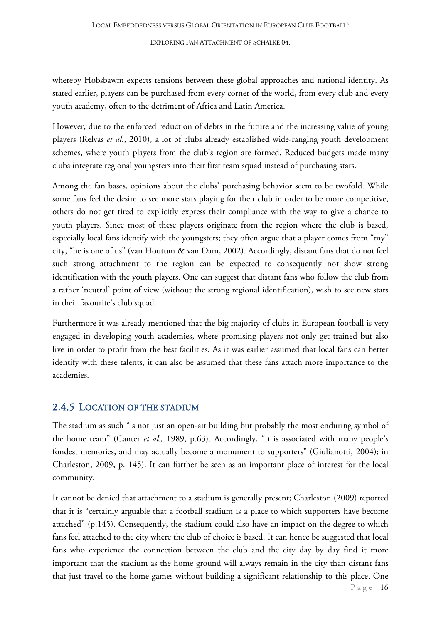whereby Hobsbawm expects tensions between these global approaches and national identity. As stated earlier, players can be purchased from every corner of the world, from every club and every youth academy, often to the detriment of Africa and Latin America.

However, due to the enforced reduction of debts in the future and the increasing value of young players (Relvas *et al*., 2010), a lot of clubs already established wide-ranging youth development schemes, where youth players from the club's region are formed. Reduced budgets made many clubs integrate regional youngsters into their first team squad instead of purchasing stars.

Among the fan bases, opinions about the clubs' purchasing behavior seem to be twofold. While some fans feel the desire to see more stars playing for their club in order to be more competitive, others do not get tired to explicitly express their compliance with the way to give a chance to youth players. Since most of these players originate from the region where the club is based, especially local fans identify with the youngsters; they often argue that a player comes from "my" city, "he is one of us" (van Houtum & van Dam, 2002). Accordingly, distant fans that do not feel such strong attachment to the region can be expected to consequently not show strong identification with the youth players. One can suggest that distant fans who follow the club from a rather 'neutral' point of view (without the strong regional identification), wish to see new stars in their favourite's club squad.

Furthermore it was already mentioned that the big majority of clubs in European football is very engaged in developing youth academies, where promising players not only get trained but also live in order to profit from the best facilities. As it was earlier assumed that local fans can better identify with these talents, it can also be assumed that these fans attach more importance to the academies.

#### <span id="page-16-0"></span>2.4.5 LOCATION OF THE STADIUM

The stadium as such "is not just an open-air building but probably the most enduring symbol of the home team" (Canter *et al.,* 1989, p.63). Accordingly, "it is associated with many people's fondest memories, and may actually become a monument to supporters" (Giulianotti, 2004); in Charleston, 2009, p. 145). It can further be seen as an important place of interest for the local community.

Page | 16 It cannot be denied that attachment to a stadium is generally present; Charleston (2009) reported that it is "certainly arguable that a football stadium is a place to which supporters have become attached" (p.145). Consequently, the stadium could also have an impact on the degree to which fans feel attached to the city where the club of choice is based. It can hence be suggested that local fans who experience the connection between the club and the city day by day find it more important that the stadium as the home ground will always remain in the city than distant fans that just travel to the home games without building a significant relationship to this place. One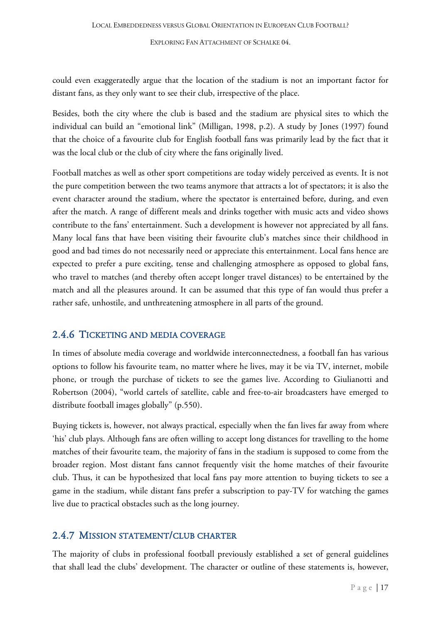could even exaggeratedly argue that the location of the stadium is not an important factor for distant fans, as they only want to see their club, irrespective of the place.

Besides, both the city where the club is based and the stadium are physical sites to which the individual can build an "emotional link" (Milligan, 1998, p.2). A study by Jones (1997) found that the choice of a favourite club for English football fans was primarily lead by the fact that it was the local club or the club of city where the fans originally lived.

Football matches as well as other sport competitions are today widely perceived as events. It is not the pure competition between the two teams anymore that attracts a lot of spectators; it is also the event character around the stadium, where the spectator is entertained before, during, and even after the match. A range of different meals and drinks together with music acts and video shows contribute to the fans' entertainment. Such a development is however not appreciated by all fans. Many local fans that have been visiting their favourite club's matches since their childhood in good and bad times do not necessarily need or appreciate this entertainment. Local fans hence are expected to prefer a pure exciting, tense and challenging atmosphere as opposed to global fans, who travel to matches (and thereby often accept longer travel distances) to be entertained by the match and all the pleasures around. It can be assumed that this type of fan would thus prefer a rather safe, unhostile, and unthreatening atmosphere in all parts of the ground.

### <span id="page-17-0"></span>2.4.6 TICKETING AND MEDIA COVERAGE

In times of absolute media coverage and worldwide interconnectedness, a football fan has various options to follow his favourite team, no matter where he lives, may it be via TV, internet, mobile phone, or trough the purchase of tickets to see the games live. According to Giulianotti and Robertson (2004), "world cartels of satellite, cable and free-to-air broadcasters have emerged to distribute football images globally" (p.550).

Buying tickets is, however, not always practical, especially when the fan lives far away from where 'his' club plays. Although fans are often willing to accept long distances for travelling to the home matches of their favourite team, the majority of fans in the stadium is supposed to come from the broader region. Most distant fans cannot frequently visit the home matches of their favourite club. Thus, it can be hypothesized that local fans pay more attention to buying tickets to see a game in the stadium, while distant fans prefer a subscription to pay-TV for watching the games live due to practical obstacles such as the long journey.

### <span id="page-17-1"></span>2.4.7 MISSION STATEMENT/CLUB CHARTER

The majority of clubs in professional football previously established a set of general guidelines that shall lead the clubs' development. The character or outline of these statements is, however,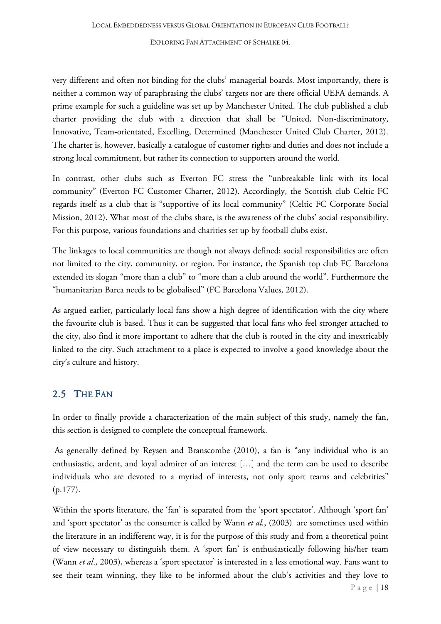very different and often not binding for the clubs' managerial boards. Most importantly, there is neither a common way of paraphrasing the clubs' targets nor are there official UEFA demands. A prime example for such a guideline was set up by Manchester United. The club published a club charter providing the club with a direction that shall be "United, Non-discriminatory, Innovative, Team-orientated, Excelling, Determined (Manchester United Club Charter, 2012). The charter is, however, basically a catalogue of customer rights and duties and does not include a strong local commitment, but rather its connection to supporters around the world.

In contrast, other clubs such as Everton FC stress the "unbreakable link with its local community" (Everton FC Customer Charter, 2012). Accordingly, the Scottish club Celtic FC regards itself as a club that is "supportive of its local community" (Celtic FC Corporate Social Mission, 2012). What most of the clubs share, is the awareness of the clubs' social responsibility. For this purpose, various foundations and charities set up by football clubs exist.

The linkages to local communities are though not always defined; social responsibilities are often not limited to the city, community, or region. For instance, the Spanish top club FC Barcelona extended its slogan "more than a club" to "more than a club around the world". Furthermore the "humanitarian Barca needs to be globalised" (FC Barcelona Values, 2012).

As argued earlier, particularly local fans show a high degree of identification with the city where the favourite club is based. Thus it can be suggested that local fans who feel stronger attached to the city, also find it more important to adhere that the club is rooted in the city and inextricably linked to the city. Such attachment to a place is expected to involve a good knowledge about the city's culture and history.

### <span id="page-18-0"></span>2.5 THE FAN

In order to finally provide a characterization of the main subject of this study, namely the fan, this section is designed to complete the conceptual framework.

As generally defined by Reysen and Branscombe (2010), a fan is "any individual who is an enthusiastic, ardent, and loyal admirer of an interest […] and the term can be used to describe individuals who are devoted to a myriad of interests, not only sport teams and celebrities" (p.177).

Page  $|18$ Within the sports literature, the 'fan' is separated from the 'sport spectator'. Although 'sport fan' and 'sport spectator' as the consumer is called by Wann *et al.*, (2003) are sometimes used within the literature in an indifferent way, it is for the purpose of this study and from a theoretical point of view necessary to distinguish them. A 'sport fan' is enthusiastically following his/her team (Wann *et al*., 2003), whereas a 'sport spectator' is interested in a less emotional way. Fans want to see their team winning, they like to be informed about the club's activities and they love to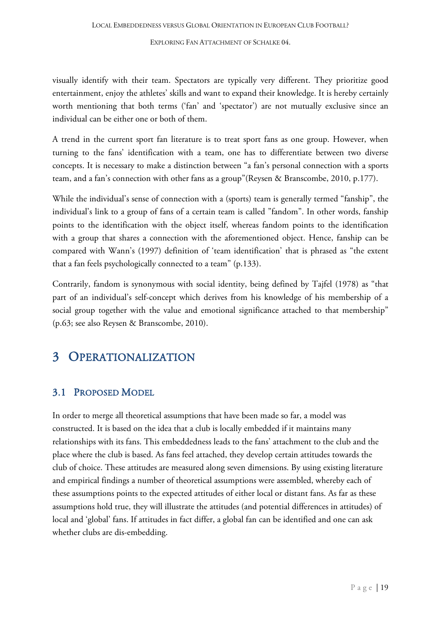visually identify with their team. Spectators are typically very different. They prioritize good entertainment, enjoy the athletes' skills and want to expand their knowledge. It is hereby certainly worth mentioning that both terms ('fan' and 'spectator') are not mutually exclusive since an individual can be either one or both of them.

A trend in the current sport fan literature is to treat sport fans as one group. However, when turning to the fans' identification with a team, one has to differentiate between two diverse concepts. It is necessary to make a distinction between "a fan's personal connection with a sports team, and a fan's connection with other fans as a group"(Reysen & Branscombe, 2010, p.177).

While the individual's sense of connection with a (sports) team is generally termed "fanship", the individual's link to a group of fans of a certain team is called "fandom". In other words, fanship points to the identification with the object itself, whereas fandom points to the identification with a group that shares a connection with the aforementioned object. Hence, fanship can be compared with Wann's (1997) definition of 'team identification' that is phrased as "the extent that a fan feels psychologically connected to a team" (p.133).

Contrarily, fandom is synonymous with social identity, being defined by Tajfel (1978) as "that part of an individual's self-concept which derives from his knowledge of his membership of a social group together with the value and emotional significance attached to that membership" (p.63; see also Reysen & Branscombe, 2010).

# <span id="page-19-0"></span>3 OPERATIONALIZATION

### <span id="page-19-1"></span>3.1 PROPOSED MODEL

In order to merge all theoretical assumptions that have been made so far, a model was constructed. It is based on the idea that a club is locally embedded if it maintains many relationships with its fans. This embeddedness leads to the fans' attachment to the club and the place where the club is based. As fans feel attached, they develop certain attitudes towards the club of choice. These attitudes are measured along seven dimensions. By using existing literature and empirical findings a number of theoretical assumptions were assembled, whereby each of these assumptions points to the expected attitudes of either local or distant fans. As far as these assumptions hold true, they will illustrate the attitudes (and potential differences in attitudes) of local and 'global' fans. If attitudes in fact differ, a global fan can be identified and one can ask whether clubs are dis-embedding.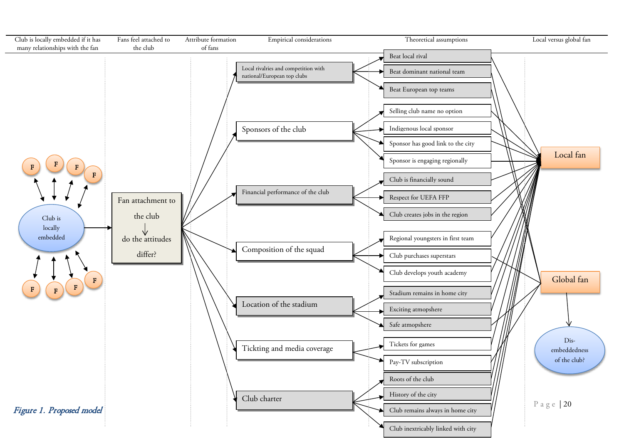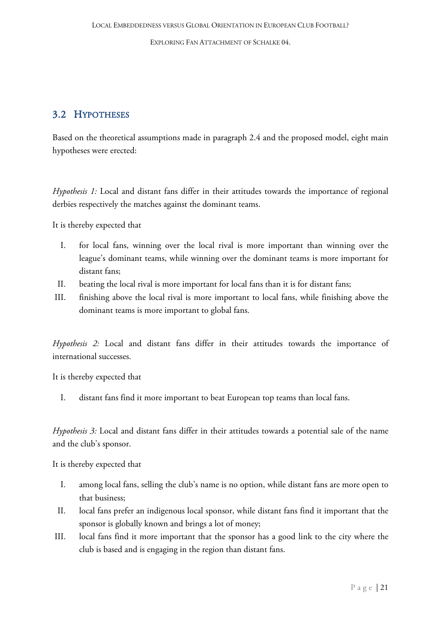### <span id="page-21-0"></span>3.2 HYPOTHESES

Based on the theoretical assumptions made in paragraph 2.4 and the proposed model, eight main hypotheses were erected:

*Hypothesis 1:* Local and distant fans differ in their attitudes towards the importance of regional derbies respectively the matches against the dominant teams.

It is thereby expected that

- I. for local fans, winning over the local rival is more important than winning over the league's dominant teams, while winning over the dominant teams is more important for distant fans;
- II. beating the local rival is more important for local fans than it is for distant fans;
- III. finishing above the local rival is more important to local fans, while finishing above the dominant teams is more important to global fans.

*Hypothesis 2:* Local and distant fans differ in their attitudes towards the importance of international successes.

It is thereby expected that

I. distant fans find it more important to beat European top teams than local fans.

*Hypothesis 3:* Local and distant fans differ in their attitudes towards a potential sale of the name and the club's sponsor.

It is thereby expected that

- I. among local fans, selling the club's name is no option, while distant fans are more open to that business;
- II. local fans prefer an indigenous local sponsor, while distant fans find it important that the sponsor is globally known and brings a lot of money;
- III. local fans find it more important that the sponsor has a good link to the city where the club is based and is engaging in the region than distant fans.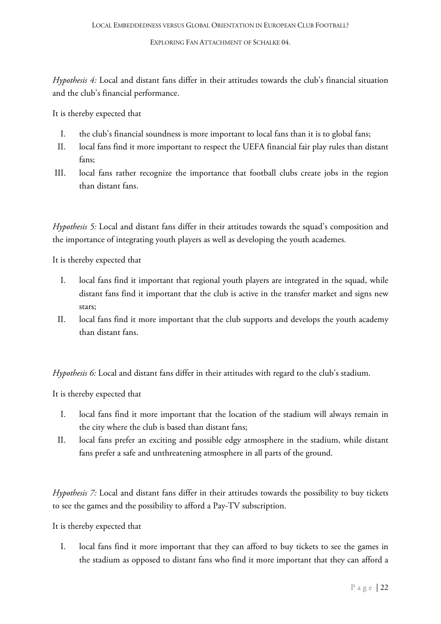*Hypothesis 4:* Local and distant fans differ in their attitudes towards the club's financial situation and the club's financial performance.

It is thereby expected that

- I. the club's financial soundness is more important to local fans than it is to global fans;
- II. local fans find it more important to respect the UEFA financial fair play rules than distant fans;
- III. local fans rather recognize the importance that football clubs create jobs in the region than distant fans.

*Hypothesis 5:* Local and distant fans differ in their attitudes towards the squad's composition and the importance of integrating youth players as well as developing the youth academes.

It is thereby expected that

- I. local fans find it important that regional youth players are integrated in the squad, while distant fans find it important that the club is active in the transfer market and signs new stars;
- II. local fans find it more important that the club supports and develops the youth academy than distant fans.

*Hypothesis 6:* Local and distant fans differ in their attitudes with regard to the club's stadium.

It is thereby expected that

- I. local fans find it more important that the location of the stadium will always remain in the city where the club is based than distant fans;
- II. local fans prefer an exciting and possible edgy atmosphere in the stadium, while distant fans prefer a safe and unthreatening atmosphere in all parts of the ground.

*Hypothesis 7:* Local and distant fans differ in their attitudes towards the possibility to buy tickets to see the games and the possibility to afford a Pay-TV subscription.

It is thereby expected that

I. local fans find it more important that they can afford to buy tickets to see the games in the stadium as opposed to distant fans who find it more important that they can afford a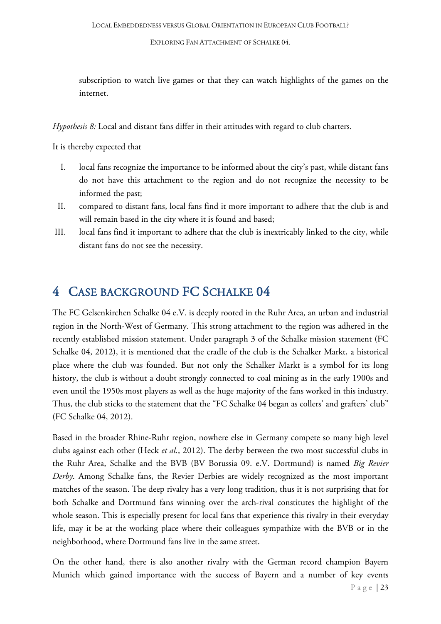subscription to watch live games or that they can watch highlights of the games on the internet.

*Hypothesis 8:* Local and distant fans differ in their attitudes with regard to club charters.

It is thereby expected that

- I. local fans recognize the importance to be informed about the city's past, while distant fans do not have this attachment to the region and do not recognize the necessity to be informed the past;
- II. compared to distant fans, local fans find it more important to adhere that the club is and will remain based in the city where it is found and based;
- III. local fans find it important to adhere that the club is inextricably linked to the city, while distant fans do not see the necessity.

# <span id="page-23-0"></span>4 CASE BACKGROUND FC SCHALKE 04

The FC Gelsenkirchen Schalke 04 e.V. is deeply rooted in the Ruhr Area, an urban and industrial region in the North-West of Germany. This strong attachment to the region was adhered in the recently established mission statement. Under paragraph 3 of the Schalke mission statement (FC Schalke 04, 2012), it is mentioned that the cradle of the club is the Schalker Markt, a historical place where the club was founded. But not only the Schalker Markt is a symbol for its long history, the club is without a doubt strongly connected to coal mining as in the early 1900s and even until the 1950s most players as well as the huge majority of the fans worked in this industry. Thus, the club sticks to the statement that the "FC Schalke 04 began as collers' and grafters' club" (FC Schalke 04, 2012).

Based in the broader Rhine-Ruhr region, nowhere else in Germany compete so many high level clubs against each other (Heck *et al.*, 2012). The derby between the two most successful clubs in the Ruhr Area, Schalke and the BVB (BV Borussia 09. e.V. Dortmund) is named *Big Revier Derby*. Among Schalke fans, the Revier Derbies are widely recognized as the most important matches of the season. The deep rivalry has a very long tradition, thus it is not surprising that for both Schalke and Dortmund fans winning over the arch-rival constitutes the highlight of the whole season. This is especially present for local fans that experience this rivalry in their everyday life, may it be at the working place where their colleagues sympathize with the BVB or in the neighborhood, where Dortmund fans live in the same street.

On the other hand, there is also another rivalry with the German record champion Bayern Munich which gained importance with the success of Bayern and a number of key events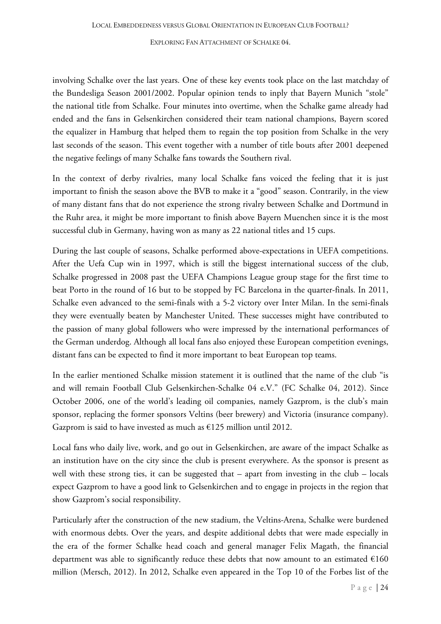involving Schalke over the last years. One of these key events took place on the last matchday of the Bundesliga Season 2001/2002. Popular opinion tends to inply that Bayern Munich "stole" the national title from Schalke. Four minutes into overtime, when the Schalke game already had ended and the fans in Gelsenkirchen considered their team national champions, Bayern scored the equalizer in Hamburg that helped them to regain the top position from Schalke in the very last seconds of the season. This event together with a number of title bouts after 2001 deepened the negative feelings of many Schalke fans towards the Southern rival.

In the context of derby rivalries, many local Schalke fans voiced the feeling that it is just important to finish the season above the BVB to make it a "good" season. Contrarily, in the view of many distant fans that do not experience the strong rivalry between Schalke and Dortmund in the Ruhr area, it might be more important to finish above Bayern Muenchen since it is the most successful club in Germany, having won as many as 22 national titles and 15 cups.

During the last couple of seasons, Schalke performed above-expectations in UEFA competitions. After the Uefa Cup win in 1997, which is still the biggest international success of the club, Schalke progressed in 2008 past the UEFA Champions League group stage for the first time to beat Porto in the round of 16 but to be stopped by FC Barcelona in the quarter-finals. In 2011, Schalke even advanced to the semi-finals with a 5-2 victory over Inter Milan. In the semi-finals they were eventually beaten by Manchester United. These successes might have contributed to the passion of many global followers who were impressed by the international performances of the German underdog. Although all local fans also enjoyed these European competition evenings, distant fans can be expected to find it more important to beat European top teams.

In the earlier mentioned Schalke mission statement it is outlined that the name of the club "is and will remain Football Club Gelsenkirchen-Schalke 04 e.V." (FC Schalke 04, 2012). Since October 2006, one of the world's leading oil companies, namely Gazprom, is the club's main sponsor, replacing the former sponsors Veltins (beer brewery) and Victoria (insurance company). Gazprom is said to have invested as much as  $E125$  million until 2012.

Local fans who daily live, work, and go out in Gelsenkirchen, are aware of the impact Schalke as an institution have on the city since the club is present everywhere. As the sponsor is present as well with these strong ties, it can be suggested that – apart from investing in the club – locals expect Gazprom to have a good link to Gelsenkirchen and to engage in projects in the region that show Gazprom's social responsibility.

Particularly after the construction of the new stadium, the Veltins-Arena, Schalke were burdened with enormous debts. Over the years, and despite additional debts that were made especially in the era of the former Schalke head coach and general manager Felix Magath, the financial department was able to significantly reduce these debts that now amount to an estimated  $\epsilon$ 160 million (Mersch, 2012). In 2012, Schalke even appeared in the Top 10 of the Forbes list of the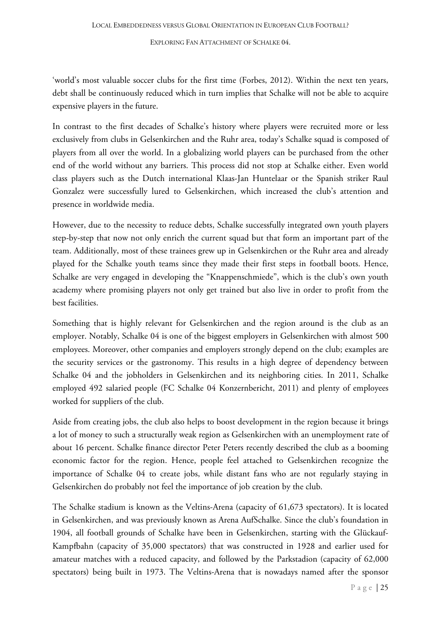'world's most valuable soccer clubs for the first time (Forbes, 2012). Within the next ten years, debt shall be continuously reduced which in turn implies that Schalke will not be able to acquire expensive players in the future.

In contrast to the first decades of Schalke's history where players were recruited more or less exclusively from clubs in Gelsenkirchen and the Ruhr area, today's Schalke squad is composed of players from all over the world. In a globalizing world players can be purchased from the other end of the world without any barriers. This process did not stop at Schalke either. Even world class players such as the Dutch international Klaas-Jan Huntelaar or the Spanish striker Raul Gonzalez were successfully lured to Gelsenkirchen, which increased the club's attention and presence in worldwide media.

However, due to the necessity to reduce debts, Schalke successfully integrated own youth players step-by-step that now not only enrich the current squad but that form an important part of the team. Additionally, most of these trainees grew up in Gelsenkirchen or the Ruhr area and already played for the Schalke youth teams since they made their first steps in football boots. Hence, Schalke are very engaged in developing the "Knappenschmiede", which is the club's own youth academy where promising players not only get trained but also live in order to profit from the best facilities.

Something that is highly relevant for Gelsenkirchen and the region around is the club as an employer. Notably, Schalke 04 is one of the biggest employers in Gelsenkirchen with almost 500 employees. Moreover, other companies and employers strongly depend on the club; examples are the security services or the gastronomy. This results in a high degree of dependency between Schalke 04 and the jobholders in Gelsenkirchen and its neighboring cities. In 2011, Schalke employed 492 salaried people (FC Schalke 04 Konzernbericht, 2011) and plenty of employees worked for suppliers of the club.

Aside from creating jobs, the club also helps to boost development in the region because it brings a lot of money to such a structurally weak region as Gelsenkirchen with an unemployment rate of about 16 percent. Schalke finance director Peter Peters recently described the club as a booming economic factor for the region. Hence, people feel attached to Gelsenkirchen recognize the importance of Schalke 04 to create jobs, while distant fans who are not regularly staying in Gelsenkirchen do probably not feel the importance of job creation by the club.

The Schalke stadium is known as the Veltins-Arena (capacity of 61,673 spectators). It is located in Gelsenkirchen, and was previously known as Arena AufSchalke. Since the club's foundation in 1904, all football grounds of Schalke have been in Gelsenkirchen, starting with the Glückauf-Kampfbahn (capacity of 35,000 spectators) that was constructed in 1928 and earlier used for amateur matches with a reduced capacity, and followed by the Parkstadion (capacity of 62,000 spectators) being built in 1973. The Veltins-Arena that is nowadays named after the sponsor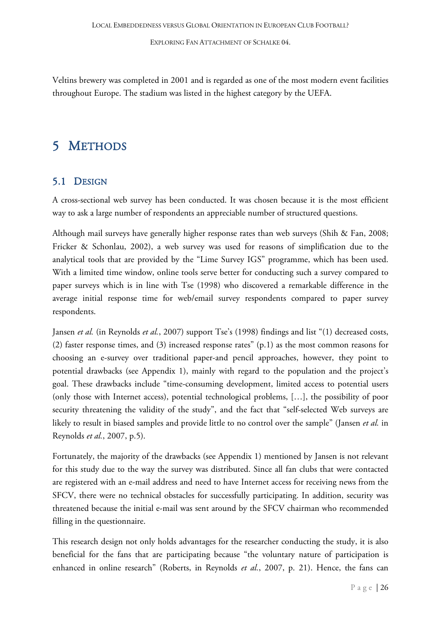Veltins brewery was completed in 2001 and is regarded as one of the most modern event facilities throughout Europe. The stadium was listed in the highest category by the UEFA.

# <span id="page-26-0"></span>5 METHODS

### <span id="page-26-1"></span>5.1 DESIGN

A cross-sectional web survey has been conducted. It was chosen because it is the most efficient way to ask a large number of respondents an appreciable number of structured questions.

Although mail surveys have generally higher response rates than web surveys (Shih & Fan, 2008; Fricker & Schonlau, 2002), a web survey was used for reasons of simplification due to the analytical tools that are provided by the "Lime Survey IGS" programme, which has been used. With a limited time window, online tools serve better for conducting such a survey compared to paper surveys which is in line with Tse (1998) who discovered a remarkable difference in the average initial response time for web/email survey respondents compared to paper survey respondents.

Jansen *et al.* (in Reynolds *et al.*, 2007) support Tse's (1998) findings and list "(1) decreased costs, (2) faster response times, and (3) increased response rates" (p.1) as the most common reasons for choosing an e-survey over traditional paper-and pencil approaches, however, they point to potential drawbacks (see Appendix 1), mainly with regard to the population and the project's goal. These drawbacks include "time-consuming development, limited access to potential users (only those with Internet access), potential technological problems, […], the possibility of poor security threatening the validity of the study", and the fact that "self-selected Web surveys are likely to result in biased samples and provide little to no control over the sample" (Jansen *et al.* in Reynolds *et al.*, 2007, p.5).

Fortunately, the majority of the drawbacks (see Appendix 1) mentioned by Jansen is not relevant for this study due to the way the survey was distributed. Since all fan clubs that were contacted are registered with an e-mail address and need to have Internet access for receiving news from the SFCV, there were no technical obstacles for successfully participating. In addition, security was threatened because the initial e-mail was sent around by the SFCV chairman who recommended filling in the questionnaire.

This research design not only holds advantages for the researcher conducting the study, it is also beneficial for the fans that are participating because "the voluntary nature of participation is enhanced in online research" (Roberts, in Reynolds *et al.*, 2007, p. 21). Hence, the fans can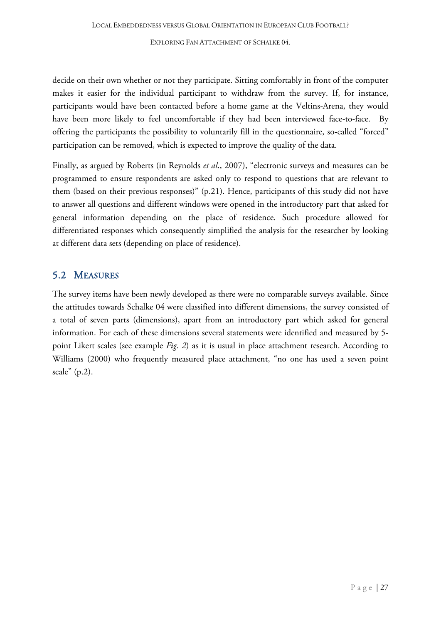decide on their own whether or not they participate. Sitting comfortably in front of the computer makes it easier for the individual participant to withdraw from the survey. If, for instance, participants would have been contacted before a home game at the Veltins-Arena, they would have been more likely to feel uncomfortable if they had been interviewed face-to-face. By offering the participants the possibility to voluntarily fill in the questionnaire, so-called "forced" participation can be removed, which is expected to improve the quality of the data.

Finally, as argued by Roberts (in Reynolds *et al*., 2007), "electronic surveys and measures can be programmed to ensure respondents are asked only to respond to questions that are relevant to them (based on their previous responses)" (p.21). Hence, participants of this study did not have to answer all questions and different windows were opened in the introductory part that asked for general information depending on the place of residence. Such procedure allowed for differentiated responses which consequently simplified the analysis for the researcher by looking at different data sets (depending on place of residence).

### <span id="page-27-0"></span>5.2 MEASURES

The survey items have been newly developed as there were no comparable surveys available. Since the attitudes towards Schalke 04 were classified into different dimensions, the survey consisted of a total of seven parts (dimensions), apart from an introductory part which asked for general information. For each of these dimensions several statements were identified and measured by 5 point Likert scales (see example *Fig. 2*) as it is usual in place attachment research. According to Williams (2000) who frequently measured place attachment, "no one has used a seven point scale" (p.2).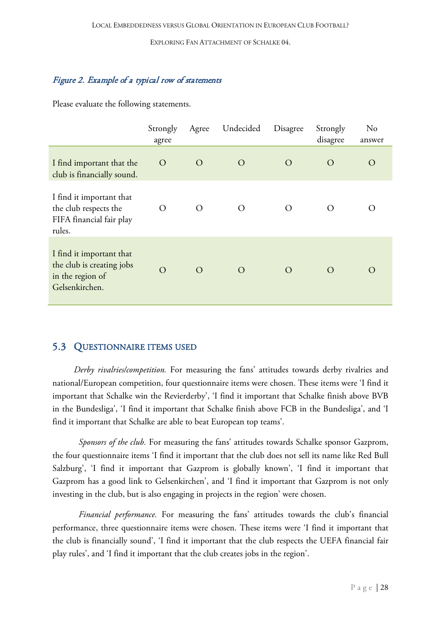#### Figure 2. Example of a typical row of statements

Please evaluate the following statements.

|                                                                                             | Strongly<br>agree | Agree          | Undecided      | Disagree       | Strongly<br>disagree | No<br>answer     |
|---------------------------------------------------------------------------------------------|-------------------|----------------|----------------|----------------|----------------------|------------------|
| I find important that the<br>club is financially sound.                                     | $\overline{O}$    | $\overline{O}$ | $\overline{O}$ | $\rm{O}$       | $\Omega$             | $\Omega$         |
| I find it important that<br>the club respects the<br>FIFA financial fair play<br>rules.     | O                 | $\Omega$       | $\Omega$       | O              | ∩                    | $\left( \right)$ |
| I find it important that<br>the club is creating jobs<br>in the region of<br>Gelsenkirchen. | $\Omega$          | $\Omega$       | $\rm{O}$       | $\overline{O}$ | $\bigcirc$           | $\bigcap$        |

#### <span id="page-28-0"></span>5.3 QUESTIONNAIRE ITEMS USED

*Derby rivalries/competition.* For measuring the fans' attitudes towards derby rivalries and national/European competition, four questionnaire items were chosen. These items were 'I find it important that Schalke win the Revierderby', 'I find it important that Schalke finish above BVB in the Bundesliga', 'I find it important that Schalke finish above FCB in the Bundesliga', and 'I find it important that Schalke are able to beat European top teams'.

*Sponsors of the club.* For measuring the fans' attitudes towards Schalke sponsor Gazprom, the four questionnaire items 'I find it important that the club does not sell its name like Red Bull Salzburg', 'I find it important that Gazprom is globally known', 'I find it important that Gazprom has a good link to Gelsenkirchen', and 'I find it important that Gazprom is not only investing in the club, but is also engaging in projects in the region' were chosen.

*Financial performance.* For measuring the fans' attitudes towards the club's financial performance, three questionnaire items were chosen. These items were 'I find it important that the club is financially sound', 'I find it important that the club respects the UEFA financial fair play rules', and 'I find it important that the club creates jobs in the region'.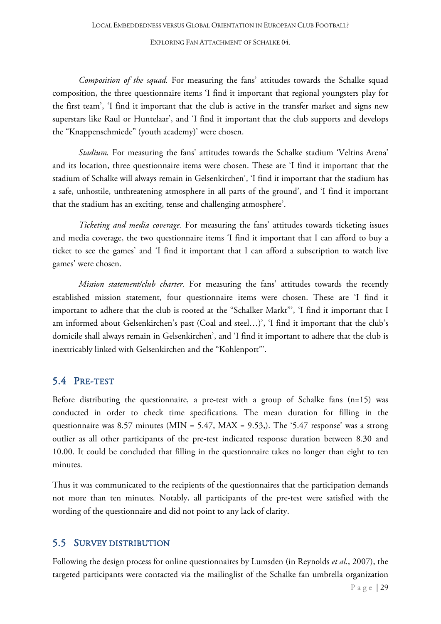*Composition of the squad.* For measuring the fans' attitudes towards the Schalke squad composition, the three questionnaire items 'I find it important that regional youngsters play for the first team', 'I find it important that the club is active in the transfer market and signs new superstars like Raul or Huntelaar', and 'I find it important that the club supports and develops the "Knappenschmiede" (youth academy)' were chosen.

*Stadium.* For measuring the fans' attitudes towards the Schalke stadium 'Veltins Arena' and its location, three questionnaire items were chosen. These are 'I find it important that the stadium of Schalke will always remain in Gelsenkirchen', 'I find it important that the stadium has a safe, unhostile, unthreatening atmosphere in all parts of the ground', and 'I find it important that the stadium has an exciting, tense and challenging atmosphere'.

*Ticketing and media coverage.* For measuring the fans' attitudes towards ticketing issues and media coverage, the two questionnaire items 'I find it important that I can afford to buy a ticket to see the games' and 'I find it important that I can afford a subscription to watch live games' were chosen.

*Mission statement/club charter.* For measuring the fans' attitudes towards the recently established mission statement, four questionnaire items were chosen. These are 'I find it important to adhere that the club is rooted at the "Schalker Markt"', 'I find it important that I am informed about Gelsenkirchen's past (Coal and steel…)', 'I find it important that the club's domicile shall always remain in Gelsenkirchen', and 'I find it important to adhere that the club is inextricably linked with Gelsenkirchen and the "Kohlenpott"'.

#### <span id="page-29-0"></span>5.4 PRE-TEST

Before distributing the questionnaire, a pre-test with a group of Schalke fans (n=15) was conducted in order to check time specifications. The mean duration for filling in the questionnaire was 8.57 minutes (MIN = 5.47, MAX = 9.53). The '5.47 response' was a strong outlier as all other participants of the pre-test indicated response duration between 8.30 and 10.00. It could be concluded that filling in the questionnaire takes no longer than eight to ten minutes.

Thus it was communicated to the recipients of the questionnaires that the participation demands not more than ten minutes. Notably, all participants of the pre-test were satisfied with the wording of the questionnaire and did not point to any lack of clarity.

#### <span id="page-29-1"></span>5.5 SURVEY DISTRIBUTION

Following the design process for online questionnaires by Lumsden (in Reynolds *et al.*, 2007), the targeted participants were contacted via the mailinglist of the Schalke fan umbrella organization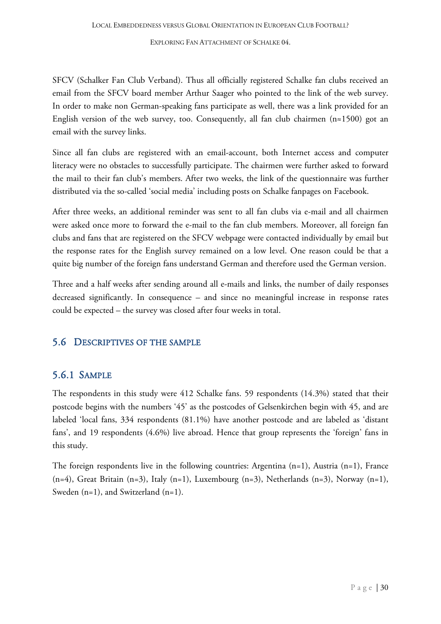SFCV (Schalker Fan Club Verband). Thus all officially registered Schalke fan clubs received an email from the SFCV board member Arthur Saager who pointed to the link of the web survey. In order to make non German-speaking fans participate as well, there was a link provided for an English version of the web survey, too. Consequently, all fan club chairmen (n≈1500) got an email with the survey links.

Since all fan clubs are registered with an email-account, both Internet access and computer literacy were no obstacles to successfully participate. The chairmen were further asked to forward the mail to their fan club's members. After two weeks, the link of the questionnaire was further distributed via the so-called 'social media' including posts on Schalke fanpages on Facebook.

After three weeks, an additional reminder was sent to all fan clubs via e-mail and all chairmen were asked once more to forward the e-mail to the fan club members. Moreover, all foreign fan clubs and fans that are registered on the SFCV webpage were contacted individually by email but the response rates for the English survey remained on a low level. One reason could be that a quite big number of the foreign fans understand German and therefore used the German version.

Three and a half weeks after sending around all e-mails and links, the number of daily responses decreased significantly. In consequence – and since no meaningful increase in response rates could be expected – the survey was closed after four weeks in total.

### <span id="page-30-0"></span>5.6 DESCRIPTIVES OF THE SAMPLE

### <span id="page-30-1"></span>5.6.1 SAMPLE

The respondents in this study were 412 Schalke fans. 59 respondents (14.3%) stated that their postcode begins with the numbers '45' as the postcodes of Gelsenkirchen begin with 45, and are labeled 'local fans, 334 respondents (81.1%) have another postcode and are labeled as 'distant fans', and 19 respondents (4.6%) live abroad. Hence that group represents the 'foreign' fans in this study.

The foreign respondents live in the following countries: Argentina (n=1), Austria (n=1), France (n=4), Great Britain (n=3), Italy (n=1), Luxembourg (n=3), Netherlands (n=3), Norway (n=1), Sweden (n=1), and Switzerland (n=1).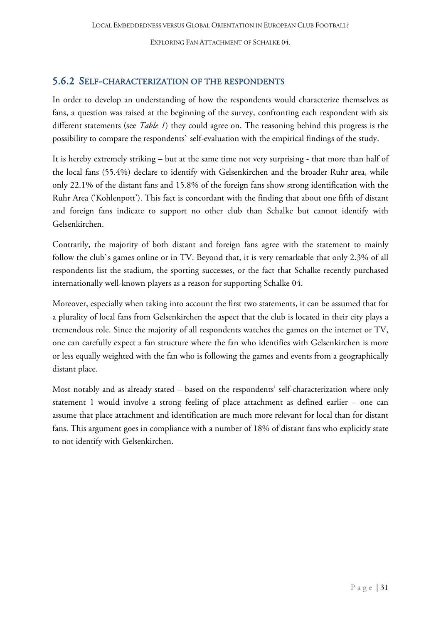#### <span id="page-31-0"></span>5.6.2 SELF-CHARACTERIZATION OF THE RESPONDENTS

In order to develop an understanding of how the respondents would characterize themselves as fans, a question was raised at the beginning of the survey, confronting each respondent with six different statements (see *Table 1*) they could agree on. The reasoning behind this progress is the possibility to compare the respondents` self-evaluation with the empirical findings of the study.

It is hereby extremely striking – but at the same time not very surprising - that more than half of the local fans (55.4%) declare to identify with Gelsenkirchen and the broader Ruhr area, while only 22.1% of the distant fans and 15.8% of the foreign fans show strong identification with the Ruhr Area ('Kohlenpott'). This fact is concordant with the finding that about one fifth of distant and foreign fans indicate to support no other club than Schalke but cannot identify with Gelsenkirchen.

Contrarily, the majority of both distant and foreign fans agree with the statement to mainly follow the club`s games online or in TV. Beyond that, it is very remarkable that only 2.3% of all respondents list the stadium, the sporting successes, or the fact that Schalke recently purchased internationally well-known players as a reason for supporting Schalke 04.

Moreover, especially when taking into account the first two statements, it can be assumed that for a plurality of local fans from Gelsenkirchen the aspect that the club is located in their city plays a tremendous role. Since the majority of all respondents watches the games on the internet or TV, one can carefully expect a fan structure where the fan who identifies with Gelsenkirchen is more or less equally weighted with the fan who is following the games and events from a geographically distant place.

Most notably and as already stated – based on the respondents' self-characterization where only statement 1 would involve a strong feeling of place attachment as defined earlier – one can assume that place attachment and identification are much more relevant for local than for distant fans. This argument goes in compliance with a number of 18% of distant fans who explicitly state to not identify with Gelsenkirchen.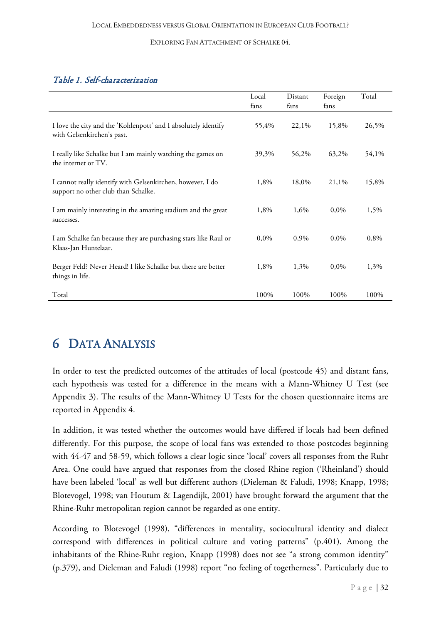#### Table 1. Self-characterization

|                                                                                                   | Local<br>fans | Distant<br>fans | Foreign<br>fans | Total |
|---------------------------------------------------------------------------------------------------|---------------|-----------------|-----------------|-------|
| I love the city and the 'Kohlenpott' and I absolutely identify<br>with Gelsenkirchen's past.      | 55,4%         | 22,1%           | 15,8%           | 26,5% |
| I really like Schalke but I am mainly watching the games on<br>the internet or TV.                | 39,3%         | 56,2%           | 63,2%           | 54,1% |
| I cannot really identify with Gelsenkirchen, however, I do<br>support no other club than Schalke. | 1,8%          | 18,0%           | 21,1%           | 15,8% |
| I am mainly interesting in the amazing stadium and the great<br>successes.                        | 1,8%          | 1,6%            | 0,0%            | 1,5%  |
| I am Schalke fan because they are purchasing stars like Raul or<br>Klaas-Jan Huntelaar.           | 0,0%          | 0,9%            | 0,0%            | 0,8%  |
| Berger Feld? Never Heard! I like Schalke but there are better<br>things in life.                  | 1,8%          | 1,3%            | 0,0%            | 1,3%  |
| Total                                                                                             | 100%          | 100%            | 100%            | 100%  |

# <span id="page-32-0"></span>6 DATA ANALYSIS

In order to test the predicted outcomes of the attitudes of local (postcode 45) and distant fans, each hypothesis was tested for a difference in the means with a Mann-Whitney U Test (see Appendix 3). The results of the Mann-Whitney U Tests for the chosen questionnaire items are reported in Appendix 4.

In addition, it was tested whether the outcomes would have differed if locals had been defined differently. For this purpose, the scope of local fans was extended to those postcodes beginning with 44-47 and 58-59, which follows a clear logic since 'local' covers all responses from the Ruhr Area. One could have argued that responses from the closed Rhine region ('Rheinland') should have been labeled 'local' as well but different authors (Dieleman & Faludi, 1998; Knapp, 1998; Blotevogel, 1998; van Houtum & Lagendijk, 2001) have brought forward the argument that the Rhine-Ruhr metropolitan region cannot be regarded as one entity.

According to Blotevogel (1998), "differences in mentality, sociocultural identity and dialect correspond with differences in political culture and voting patterns" (p.401). Among the inhabitants of the Rhine-Ruhr region, Knapp (1998) does not see "a strong common identity" (p.379), and Dieleman and Faludi (1998) report "no feeling of togetherness". Particularly due to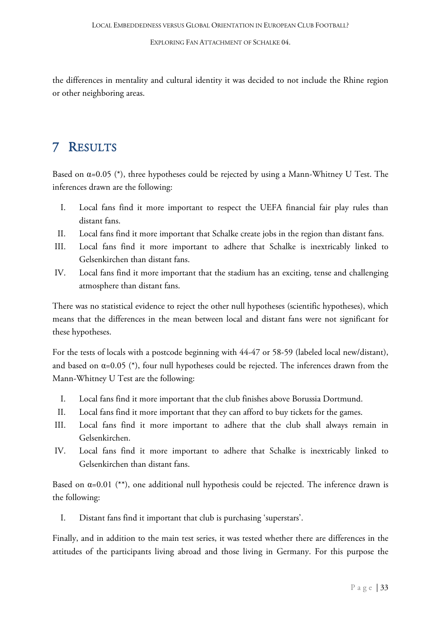the differences in mentality and cultural identity it was decided to not include the Rhine region or other neighboring areas.

# <span id="page-33-0"></span>7 RESULTS

Based on  $\alpha$ =0.05 (\*), three hypotheses could be rejected by using a Mann-Whitney U Test. The inferences drawn are the following:

- I. Local fans find it more important to respect the UEFA financial fair play rules than distant fans.
- II. Local fans find it more important that Schalke create jobs in the region than distant fans.
- III. Local fans find it more important to adhere that Schalke is inextricably linked to Gelsenkirchen than distant fans.
- IV. Local fans find it more important that the stadium has an exciting, tense and challenging atmosphere than distant fans.

There was no statistical evidence to reject the other null hypotheses (scientific hypotheses), which means that the differences in the mean between local and distant fans were not significant for these hypotheses.

For the tests of locals with a postcode beginning with 44-47 or 58-59 (labeled local new/distant), and based on  $\alpha$ =0.05 (\*), four null hypotheses could be rejected. The inferences drawn from the Mann-Whitney U Test are the following:

- I. Local fans find it more important that the club finishes above Borussia Dortmund.
- II. Local fans find it more important that they can afford to buy tickets for the games.
- III. Local fans find it more important to adhere that the club shall always remain in Gelsenkirchen.
- IV. Local fans find it more important to adhere that Schalke is inextricably linked to Gelsenkirchen than distant fans.

Based on  $\alpha=0.01$  (\*\*), one additional null hypothesis could be rejected. The inference drawn is the following:

I. Distant fans find it important that club is purchasing 'superstars'.

Finally, and in addition to the main test series, it was tested whether there are differences in the attitudes of the participants living abroad and those living in Germany. For this purpose the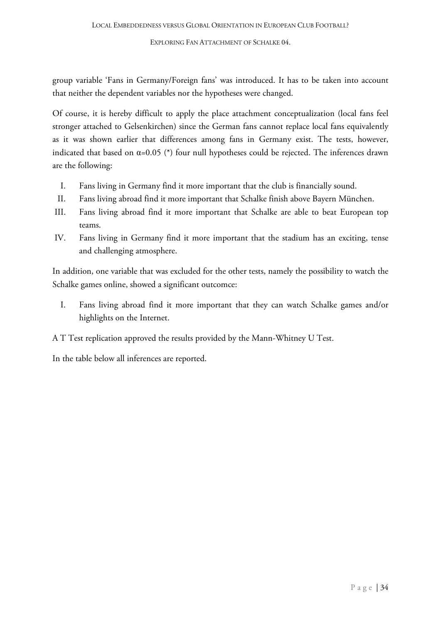group variable 'Fans in Germany/Foreign fans' was introduced. It has to be taken into account that neither the dependent variables nor the hypotheses were changed.

Of course, it is hereby difficult to apply the place attachment conceptualization (local fans feel stronger attached to Gelsenkirchen) since the German fans cannot replace local fans equivalently as it was shown earlier that differences among fans in Germany exist. The tests, however, indicated that based on  $\alpha$ =0.05 (\*) four null hypotheses could be rejected. The inferences drawn are the following:

- I. Fans living in Germany find it more important that the club is financially sound.
- II. Fans living abroad find it more important that Schalke finish above Bayern München.
- III. Fans living abroad find it more important that Schalke are able to beat European top teams.
- IV. Fans living in Germany find it more important that the stadium has an exciting, tense and challenging atmosphere.

In addition, one variable that was excluded for the other tests, namely the possibility to watch the Schalke games online, showed a significant outcomce:

I. Fans living abroad find it more important that they can watch Schalke games and/or highlights on the Internet.

A T Test replication approved the results provided by the Mann-Whitney U Test.

In the table below all inferences are reported.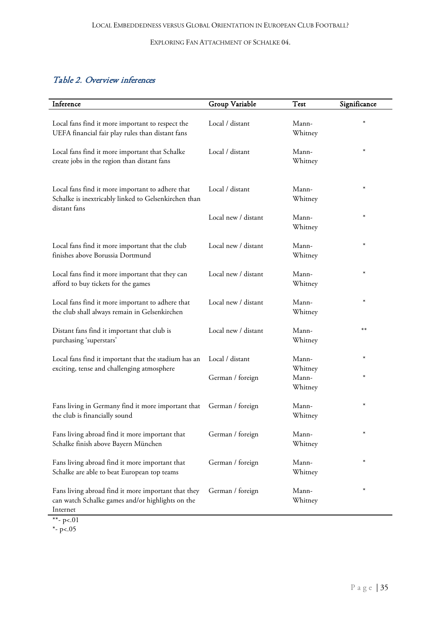### Table 2. Overview inferences

| Inference                                                                                                           | Group Variable      | <b>Test</b>      | Significance |
|---------------------------------------------------------------------------------------------------------------------|---------------------|------------------|--------------|
| Local fans find it more important to respect the<br>UEFA financial fair play rules than distant fans                | Local / distant     | Mann-<br>Whitney | ∗            |
| Local fans find it more important that Schalke<br>create jobs in the region than distant fans                       | Local / distant     | Mann-<br>Whitney | $\ast$       |
| Local fans find it more important to adhere that<br>Schalke is inextricably linked to Gelsenkirchen than            | Local / distant     | Mann-<br>Whitney | $\ast$       |
| distant fans                                                                                                        | Local new / distant | Mann-<br>Whitney | $\ast$       |
| Local fans find it more important that the club<br>finishes above Borussia Dortmund                                 | Local new / distant | Mann-<br>Whitney | $\ast$       |
| Local fans find it more important that they can<br>afford to buy tickets for the games                              | Local new / distant | Mann-<br>Whitney | $\ast$       |
| Local fans find it more important to adhere that<br>the club shall always remain in Gelsenkirchen                   | Local new / distant | Mann-<br>Whitney | $\ast$       |
| Distant fans find it important that club is<br>purchasing 'superstars'                                              | Local new / distant | Mann-<br>Whitney | $***$        |
| Local fans find it important that the stadium has an<br>exciting, tense and challenging atmosphere                  | Local / distant     | Mann-<br>Whitney | $\ast$       |
|                                                                                                                     | German / foreign    | Mann-<br>Whitney | $\ast$       |
| Fans living in Germany find it more important that German / foreign<br>the club is financially sound                |                     | Mann-<br>Whitney | $\ast$       |
| Fans living abroad find it more important that<br>Schalke finish above Bayern München                               | German / foreign    | Mann-<br>Whitney | $\ast$       |
| Fans living abroad find it more important that<br>Schalke are able to beat European top teams                       | German / foreign    | Mann-<br>Whitney | $\ast$       |
| Fans living abroad find it more important that they<br>can watch Schalke games and/or highlights on the<br>Internet | German / foreign    | Mann-<br>Whitney | $\ast$       |

\*\*-  $p<01$ 

\*- p<.05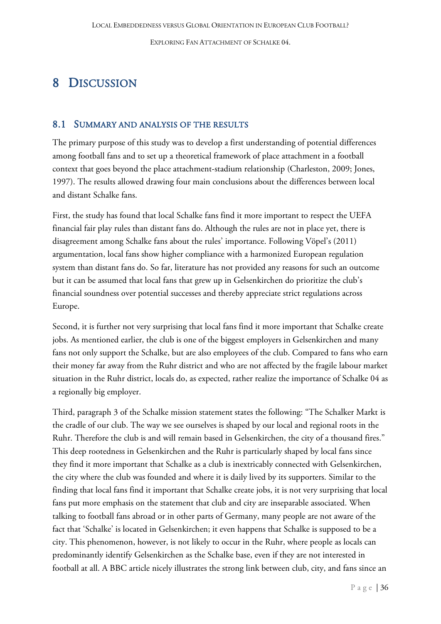# <span id="page-36-0"></span>8 DISCUSSION

#### <span id="page-36-1"></span>8.1 SUMMARY AND ANALYSIS OF THE RESULTS

The primary purpose of this study was to develop a first understanding of potential differences among football fans and to set up a theoretical framework of place attachment in a football context that goes beyond the place attachment-stadium relationship (Charleston, 2009; Jones, 1997). The results allowed drawing four main conclusions about the differences between local and distant Schalke fans.

First, the study has found that local Schalke fans find it more important to respect the UEFA financial fair play rules than distant fans do. Although the rules are not in place yet, there is disagreement among Schalke fans about the rules' importance. Following Vöpel's (2011) argumentation, local fans show higher compliance with a harmonized European regulation system than distant fans do. So far, literature has not provided any reasons for such an outcome but it can be assumed that local fans that grew up in Gelsenkirchen do prioritize the club's financial soundness over potential successes and thereby appreciate strict regulations across Europe.

Second, it is further not very surprising that local fans find it more important that Schalke create jobs. As mentioned earlier, the club is one of the biggest employers in Gelsenkirchen and many fans not only support the Schalke, but are also employees of the club. Compared to fans who earn their money far away from the Ruhr district and who are not affected by the fragile labour market situation in the Ruhr district, locals do, as expected, rather realize the importance of Schalke 04 as a regionally big employer.

Third, paragraph 3 of the Schalke mission statement states the following: "The Schalker Markt is the cradle of our club. The way we see ourselves is shaped by our local and regional roots in the Ruhr. Therefore the club is and will remain based in Gelsenkirchen, the city of a thousand fires." This deep rootedness in Gelsenkirchen and the Ruhr is particularly shaped by local fans since they find it more important that Schalke as a club is inextricably connected with Gelsenkirchen, the city where the club was founded and where it is daily lived by its supporters. Similar to the finding that local fans find it important that Schalke create jobs, it is not very surprising that local fans put more emphasis on the statement that club and city are inseparable associated. When talking to football fans abroad or in other parts of Germany, many people are not aware of the fact that 'Schalke' is located in Gelsenkirchen; it even happens that Schalke is supposed to be a city. This phenomenon, however, is not likely to occur in the Ruhr, where people as locals can predominantly identify Gelsenkirchen as the Schalke base, even if they are not interested in football at all. A BBC article nicely illustrates the strong link between club, city, and fans since an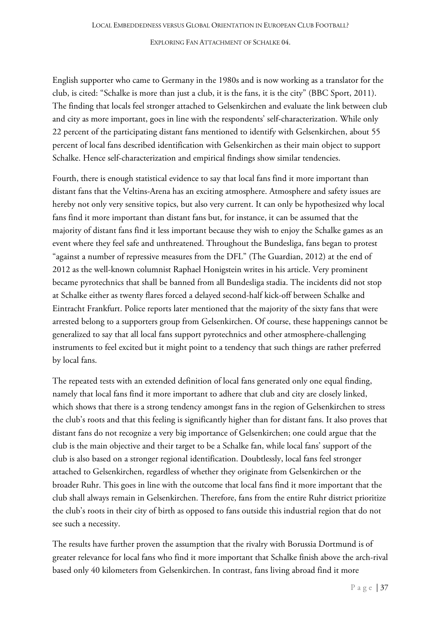English supporter who came to Germany in the 1980s and is now working as a translator for the club, is cited: "Schalke is more than just a club, it is the fans, it is the city" (BBC Sport, 2011). The finding that locals feel stronger attached to Gelsenkirchen and evaluate the link between club and city as more important, goes in line with the respondents' self-characterization. While only 22 percent of the participating distant fans mentioned to identify with Gelsenkirchen, about 55 percent of local fans described identification with Gelsenkirchen as their main object to support Schalke. Hence self-characterization and empirical findings show similar tendencies.

Fourth, there is enough statistical evidence to say that local fans find it more important than distant fans that the Veltins-Arena has an exciting atmosphere. Atmosphere and safety issues are hereby not only very sensitive topics, but also very current. It can only be hypothesized why local fans find it more important than distant fans but, for instance, it can be assumed that the majority of distant fans find it less important because they wish to enjoy the Schalke games as an event where they feel safe and unthreatened. Throughout the Bundesliga, fans began to protest "against a number of repressive measures from the DFL" (The Guardian, 2012) at the end of 2012 as the well-known columnist Raphael Honigstein writes in his article. Very prominent became pyrotechnics that shall be banned from all Bundesliga stadia. The incidents did not stop at Schalke either as twenty flares forced a delayed second-half kick-off between Schalke and Eintracht Frankfurt. Police reports later mentioned that the majority of the sixty fans that were arrested belong to a supporters group from Gelsenkirchen. Of course, these happenings cannot be generalized to say that all local fans support pyrotechnics and other atmosphere-challenging instruments to feel excited but it might point to a tendency that such things are rather preferred by local fans.

The repeated tests with an extended definition of local fans generated only one equal finding, namely that local fans find it more important to adhere that club and city are closely linked, which shows that there is a strong tendency amongst fans in the region of Gelsenkirchen to stress the club's roots and that this feeling is significantly higher than for distant fans. It also proves that distant fans do not recognize a very big importance of Gelsenkirchen; one could argue that the club is the main objective and their target to be a Schalke fan, while local fans' support of the club is also based on a stronger regional identification. Doubtlessly, local fans feel stronger attached to Gelsenkirchen, regardless of whether they originate from Gelsenkirchen or the broader Ruhr. This goes in line with the outcome that local fans find it more important that the club shall always remain in Gelsenkirchen. Therefore, fans from the entire Ruhr district prioritize the club's roots in their city of birth as opposed to fans outside this industrial region that do not see such a necessity.

The results have further proven the assumption that the rivalry with Borussia Dortmund is of greater relevance for local fans who find it more important that Schalke finish above the arch-rival based only 40 kilometers from Gelsenkirchen. In contrast, fans living abroad find it more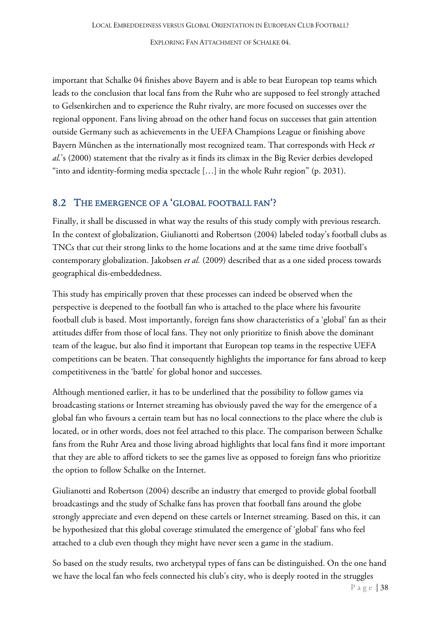important that Schalke 04 finishes above Bayern and is able to beat European top teams which leads to the conclusion that local fans from the Ruhr who are supposed to feel strongly attached to Gelsenkirchen and to experience the Ruhr rivalry, are more focused on successes over the regional opponent. Fans living abroad on the other hand focus on successes that gain attention outside Germany such as achievements in the UEFA Champions League or finishing above Bayern München as the internationally most recognized team. That corresponds with Heck *et al.*'s (2000) statement that the rivalry as it finds its climax in the Big Revier derbies developed "into and identity-forming media spectacle […] in the whole Ruhr region" (p. 2031).

#### <span id="page-38-0"></span>8.2 THE EMERGENCE OF A 'GLOBAL FOOTBALL FAN'?

Finally, it shall be discussed in what way the results of this study comply with previous research. In the context of globalization, Giulianotti and Robertson (2004) labeled today's football clubs as TNCs that cut their strong links to the home locations and at the same time drive football's contemporary globalization. Jakobsen *et al.* (2009) described that as a one sided process towards geographical dis-embeddedness.

This study has empirically proven that these processes can indeed be observed when the perspective is deepened to the football fan who is attached to the place where his favourite football club is based. Most importantly, foreign fans show characteristics of a 'global' fan as their attitudes differ from those of local fans. They not only prioritize to finish above the dominant team of the league, but also find it important that European top teams in the respective UEFA competitions can be beaten. That consequently highlights the importance for fans abroad to keep competitiveness in the 'battle' for global honor and successes.

Although mentioned earlier, it has to be underlined that the possibility to follow games via broadcasting stations or Internet streaming has obviously paved the way for the emergence of a global fan who favours a certain team but has no local connections to the place where the club is located, or in other words, does not feel attached to this place. The comparison between Schalke fans from the Ruhr Area and those living abroad highlights that local fans find it more important that they are able to afford tickets to see the games live as opposed to foreign fans who prioritize the option to follow Schalke on the Internet.

Giulianotti and Robertson (2004) describe an industry that emerged to provide global football broadcastings and the study of Schalke fans has proven that football fans around the globe strongly appreciate and even depend on these cartels or Internet streaming. Based on this, it can be hypothesized that this global coverage stimulated the emergence of 'global' fans who feel attached to a club even though they might have never seen a game in the stadium.

So based on the study results, two archetypal types of fans can be distinguished. On the one hand we have the local fan who feels connected his club's city, who is deeply rooted in the struggles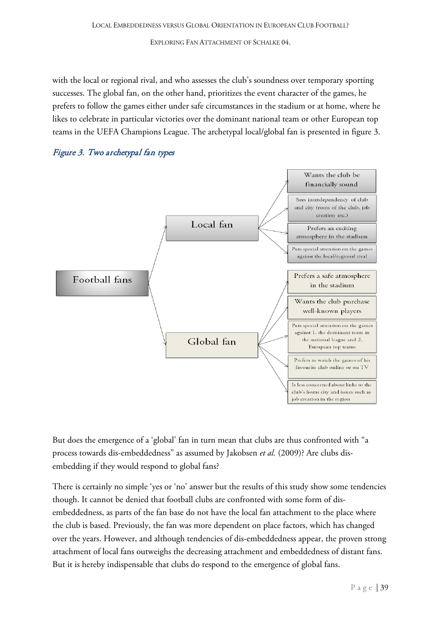with the local or regional rival, and who assesses the club's soundness over temporary sporting successes. The global fan, on the other hand, prioritizes the event character of the games, he prefers to follow the games either under safe circumstances in the stadium or at home, where he likes to celebrate in particular victories over the dominant national team or other European top teams in the UEFA Champions League. The archetypal local/global fan is presented in figure 3.





But does the emergence of a 'global' fan in turn mean that clubs are thus confronted with "a process towards dis-embeddedness" as assumed by Jakobsen *et al.* (2009)? Are clubs disembedding if they would respond to global fans?

There is certainly no simple 'yes or 'no' answer but the results of this study show some tendencies though. It cannot be denied that football clubs are confronted with some form of disembeddedness, as parts of the fan base do not have the local fan attachment to the place where the club is based. Previously, the fan was more dependent on place factors, which has changed over the years. However, and although tendencies of dis-embeddedness appear, the proven strong attachment of local fans outweighs the decreasing attachment and embeddedness of distant fans. But it is hereby indispensable that clubs do respond to the emergence of global fans.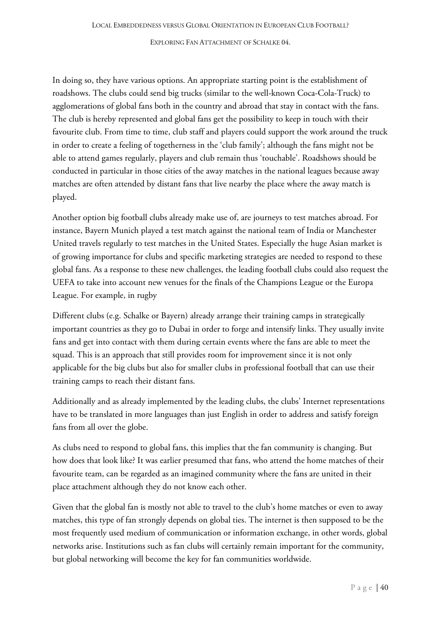In doing so, they have various options. An appropriate starting point is the establishment of roadshows. The clubs could send big trucks (similar to the well-known Coca-Cola-Truck) to agglomerations of global fans both in the country and abroad that stay in contact with the fans. The club is hereby represented and global fans get the possibility to keep in touch with their favourite club. From time to time, club staff and players could support the work around the truck in order to create a feeling of togetherness in the 'club family'; although the fans might not be able to attend games regularly, players and club remain thus 'touchable'. Roadshows should be conducted in particular in those cities of the away matches in the national leagues because away matches are often attended by distant fans that live nearby the place where the away match is played.

Another option big football clubs already make use of, are journeys to test matches abroad. For instance, Bayern Munich played a test match against the national team of India or Manchester United travels regularly to test matches in the United States. Especially the huge Asian market is of growing importance for clubs and specific marketing strategies are needed to respond to these global fans. As a response to these new challenges, the leading football clubs could also request the UEFA to take into account new venues for the finals of the Champions League or the Europa League. For example, in rugby

Different clubs (e.g. Schalke or Bayern) already arrange their training camps in strategically important countries as they go to Dubai in order to forge and intensify links. They usually invite fans and get into contact with them during certain events where the fans are able to meet the squad. This is an approach that still provides room for improvement since it is not only applicable for the big clubs but also for smaller clubs in professional football that can use their training camps to reach their distant fans.

Additionally and as already implemented by the leading clubs, the clubs' Internet representations have to be translated in more languages than just English in order to address and satisfy foreign fans from all over the globe.

As clubs need to respond to global fans, this implies that the fan community is changing. But how does that look like? It was earlier presumed that fans, who attend the home matches of their favourite team, can be regarded as an imagined community where the fans are united in their place attachment although they do not know each other.

Given that the global fan is mostly not able to travel to the club's home matches or even to away matches, this type of fan strongly depends on global ties. The internet is then supposed to be the most frequently used medium of communication or information exchange, in other words, global networks arise. Institutions such as fan clubs will certainly remain important for the community, but global networking will become the key for fan communities worldwide.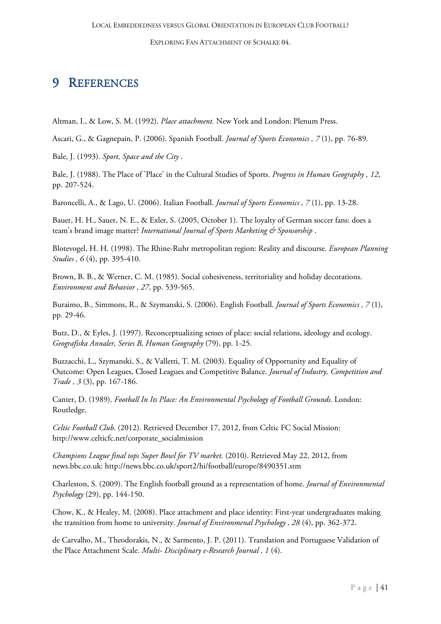## <span id="page-41-0"></span>9 REFERENCES

Altman, I., & Low, S. M. (1992). *Place attachment.* New York and London: Plenum Press.

Ascari, G., & Gagnepain, P. (2006). Spanish Football. *Journal of Sports Economics , 7* (1), pp. 76-89.

Bale, J. (1993). *Sport, Space and the City* .

Bale, J. (1988). The Place of 'Place' in the Cultural Studies of Sports. *Progress in Human Geography , 12*, pp. 207-524.

Baroncelli, A., & Lago, U. (2006). Italian Football. *Journal of Sports Economics , 7* (1), pp. 13-28.

Bauer, H. H., Sauer, N. E., & Exler, S. (2005, October 1). The loyalty of German soccer fans: does a team's brand image matter? *International Journal of Sports Marketing & Sponsorship* .

Blotevogel, H. H. (1998). The Rhine-Ruhr metropolitan region: Reality and discourse. *European Planning Studies , 6* (4), pp. 395-410.

Brown, B. B., & Werner, C. M. (1985). Social cohesiveness, territoriality and holiday decorations. *Environment and Behavior , 27*, pp. 539-565.

Buraimo, B., Simmons, R., & Szymanski, S. (2006). English Football. *Journal of Sports Economics , 7* (1), pp. 29-46.

Butz, D., & Eyles, J. (1997). Reconceptualizing senses of place: social relations, ideology and ecology. *Geografiska Annaler, Series B, Human Geography* (79), pp. 1-25.

Buzzacchi, L., Szymanski, S., & Valletti, T. M. (2003). Equality of Opportunity and Equality of Outcome: Open Leagues, Closed Leagues and Competitive Balance. *Journal of Industry, Competition and Trade , 3* (3), pp. 167-186.

Canter, D. (1989). *Football In Its Place: An Environmental Psychology of Football Grounds.* London: Routledge.

*Celtic Football Club*. (2012). Retrieved December 17, 2012, from Celtic FC Social Mission: http://www.celticfc.net/corporate\_socialmission

*Champions League final tops Super Bowl for TV market.* (2010). Retrieved May 22, 2012, from news.bbc.co.uk: http://news.bbc.co.uk/sport2/hi/football/europe/8490351.stm

Charleston, S. (2009). The English football ground as a representation of home. *Journal of Environmental Psychology* (29), pp. 144-150.

Chow, K., & Healey, M. (2008). Place attachment and place identity: First-year undergraduates making the transition from home to university. *Journal of Environmenal Psychology , 28* (4), pp. 362-372.

de Carvalho, M., Theodorakis, N., & Sarmento, J. P. (2011). Translation and Portuguese Validation of the Place Attachment Scale. *Multi- Disciplinary e-Research Journal , 1* (4).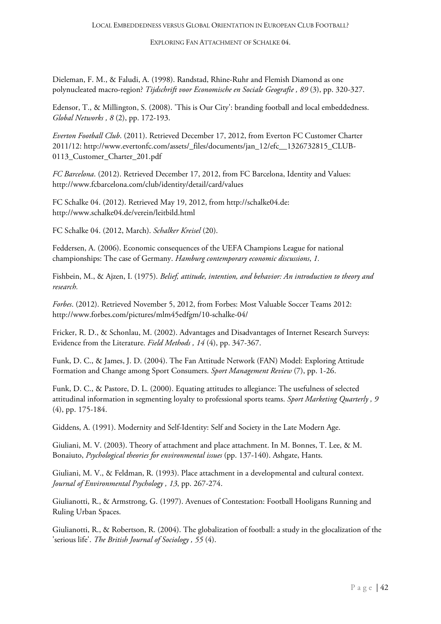Dieleman, F. M., & Faludi, A. (1998). Randstad, Rhine-Ruhr and Flemish Diamond as one polynucleated macro-region? *Tijdschrift voor Economische en Sociale Geografie , 89* (3), pp. 320-327.

Edensor, T., & Millington, S. (2008). 'This is Our City': branding football and local embeddedness. *Global Networks , 8* (2), pp. 172-193.

*Everton Football Club*. (2011). Retrieved December 17, 2012, from Everton FC Customer Charter 2011/12: http://www.evertonfc.com/assets/\_files/documents/jan\_12/efc\_\_1326732815\_CLUB-0113\_Customer\_Charter\_201.pdf

*FC Barcelona*. (2012). Retrieved December 17, 2012, from FC Barcelona, Identity and Values: http://www.fcbarcelona.com/club/identity/detail/card/values

FC Schalke 04. (2012). Retrieved May 19, 2012, from http://schalke04.de: http://www.schalke04.de/verein/leitbild.html

FC Schalke 04. (2012, March). *Schalker Kreisel* (20).

Feddersen, A. (2006). Economic consequences of the UEFA Champions League for national championships: The case of Germany. *Hamburg contemporary economic discussions*, *1.*

Fishbein, M., & Ajzen, I. (1975). *Belief, attitude, intention, and behavior: An introduction to theory and research.*

*Forbes*. (2012). Retrieved November 5, 2012, from Forbes: Most Valuable Soccer Teams 2012: http://www.forbes.com/pictures/mlm45edfgm/10-schalke-04/

Fricker, R. D., & Schonlau, M. (2002). Advantages and Disadvantages of Internet Research Surveys: Evidence from the Literature. *Field Methods , 14* (4), pp. 347-367.

Funk, D. C., & James, J. D. (2004). The Fan Attitude Network (FAN) Model: Exploring Attitude Formation and Change among Sport Consumers. *Sport Management Review* (7), pp. 1-26.

Funk, D. C., & Pastore, D. L. (2000). Equating attitudes to allegiance: The usefulness of selected attitudinal information in segmenting loyalty to professional sports teams. *Sport Marketing Quarterly , 9* (4), pp. 175-184.

Giddens, A. (1991). Modernity and Self-Identity: Self and Society in the Late Modern Age.

Giuliani, M. V. (2003). Theory of attachment and place attachment. In M. Bonnes, T. Lee, & M. Bonaiuto, *Psychological theories for environmental issues* (pp. 137-140). Ashgate, Hants.

Giuliani, M. V., & Feldman, R. (1993). Place attachment in a developmental and cultural context. *Journal of Environmental Psychology , 13*, pp. 267-274.

Giulianotti, R., & Armstrong, G. (1997). Avenues of Contestation: Football Hooligans Running and Ruling Urban Spaces.

Giulianotti, R., & Robertson, R. (2004). The globalization of football: a study in the glocalization of the 'serious life'. *The British Journal of Sociology , 55* (4).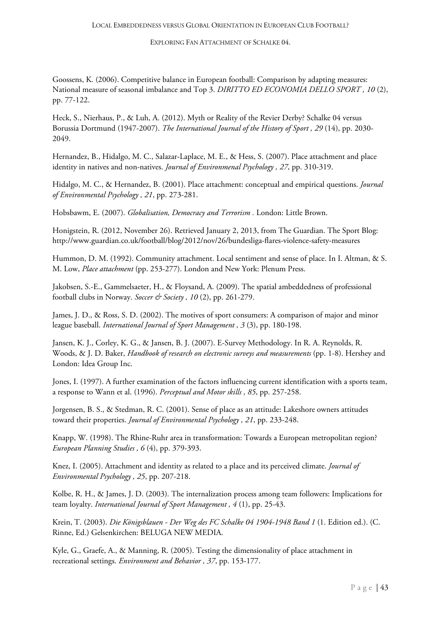Goossens, K. (2006). Competitive balance in European football: Comparison by adapting measures: National measure of seasonal imbalance and Top 3. *DIRITTO ED ECONOMIA DELLO SPORT , 10* (2), pp. 77-122.

Heck, S., Nierhaus, P., & Luh, A. (2012). Myth or Reality of the Revier Derby? Schalke 04 versus Borussia Dortmund (1947-2007). *The International Journal of the History of Sport , 29* (14), pp. 2030- 2049.

Hernandez, B., Hidalgo, M. C., Salazar-Laplace, M. E., & Hess, S. (2007). Place attachment and place identity in natives and non-natives. *Journal of Environmenal Psychology , 27*, pp. 310-319.

Hidalgo, M. C., & Hernandez, B. (2001). Place attachment: conceptual and empirical questions. *Journal of Environmental Psychology , 21*, pp. 273-281.

Hobsbawm, E. (2007). *Globalisation, Democracy and Terrorism .* London: Little Brown.

Honigstein, R. (2012, November 26). Retrieved January 2, 2013, from The Guardian. The Sport Blog: http://www.guardian.co.uk/football/blog/2012/nov/26/bundesliga-flares-violence-safety-measures

Hummon, D. M. (1992). Community attachment. Local sentiment and sense of place. In I. Altman, & S. M. Low, *Place attachment* (pp. 253-277). London and New York: Plenum Press.

Jakobsen, S.-E., Gammelsaeter, H., & Floysand, A. (2009). The spatial ambeddedness of professional football clubs in Norway. *Soccer & Society , 10* (2), pp. 261-279.

James, J. D., & Ross, S. D. (2002). The motives of sport consumers: A comparison of major and minor league baseball. *International Journal of Sport Management , 3* (3), pp. 180-198.

Jansen, K. J., Corley, K. G., & Jansen, B. J. (2007). E-Survey Methodology. In R. A. Reynolds, R. Woods, & J. D. Baker, *Handbook of research on electronic surveys and measurements* (pp. 1-8). Hershey and London: Idea Group Inc.

Jones, I. (1997). A further examination of the factors influencing current identification with a sports team, a response to Wann et al. (1996). *Perceptual and Motor skills , 85*, pp. 257-258.

Jorgensen, B. S., & Stedman, R. C. (2001). Sense of place as an attitude: Lakeshore owners attitudes toward their properties. *Journal of Environmental Psychology , 21*, pp. 233-248.

Knapp, W. (1998). The Rhine-Ruhr area in transformation: Towards a European metropolitan region? *European Planning Studies , 6* (4), pp. 379-393.

Knez, I. (2005). Attachment and identity as related to a place and its perceived climate. *Journal of Environmental Psychology , 25*, pp. 207-218.

Kolbe, R. H., & James, J. D. (2003). The internalization process among team followers: Implications for team loyalty. *International Journal of Sport Management , 4* (1), pp. 25-43.

Krein, T. (2003). *Die Königsblauen - Der Weg des FC Schalke 04 1904-1948 Band 1* (1. Edition ed.). (C. Rinne, Ed.) Gelsenkirchen: BELUGA NEW MEDIA.

Kyle, G., Graefe, A., & Manning, R. (2005). Testing the dimensionality of place attachment in recreational settings. *Environment and Behavior , 37*, pp. 153-177.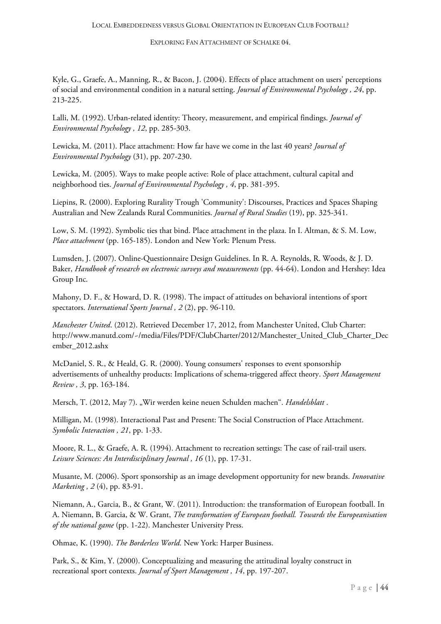Kyle, G., Graefe, A., Manning, R., & Bacon, J. (2004). Effects of place attachment on users' perceptions of social and environmental condition in a natural setting. *Journal of Environmental Psychology , 24*, pp. 213-225.

Lalli, M. (1992). Urban-related identity: Theory, measurement, and empirical findings. *Journal of Environmental Psychology , 12*, pp. 285-303.

Lewicka, M. (2011). Place attachment: How far have we come in the last 40 years? *Journal of Environmental Psychology* (31), pp. 207-230.

Lewicka, M. (2005). Ways to make people active: Role of place attachment, cultural capital and neighborhood ties. *Journal of Environmental Psychology , 4*, pp. 381-395.

Liepins, R. (2000). Exploring Rurality Trough 'Community': Discourses, Practices and Spaces Shaping Australian and New Zealands Rural Communities. *Journal of Rural Studies* (19), pp. 325-341.

Low, S. M. (1992). Symbolic ties that bind. Place attachment in the plaza. In I. Altman, & S. M. Low, *Place attachment* (pp. 165-185). London and New York: Plenum Press.

Lumsden, J. (2007). Online-Questionnaire Design Guidelines. In R. A. Reynolds, R. Woods, & J. D. Baker, *Handbook of research on electronic surveys and measurements* (pp. 44-64). London and Hershey: Idea Group Inc.

Mahony, D. F., & Howard, D. R. (1998). The impact of attitudes on behavioral intentions of sport spectators. *International Sports Journal , 2* (2), pp. 96-110.

*Manchester United*. (2012). Retrieved December 17, 2012, from Manchester United, Club Charter: http://www.manutd.com/~/media/Files/PDF/ClubCharter/2012/Manchester\_United\_Club\_Charter\_Dec ember\_2012.ashx

McDaniel, S. R., & Heald, G. R. (2000). Young consumers' responses to event sponsorship advertisements of unhealthy products: Implications of schema-triggered affect theory. *Sport Management Review , 3*, pp. 163-184.

Mersch, T. (2012, May 7). "Wir werden keine neuen Schulden machen". *Handelsblatt* .

Milligan, M. (1998). Interactional Past and Present: The Social Construction of Place Attachment. *Symbolic Interaction , 21*, pp. 1-33.

Moore, R. L., & Graefe, A. R. (1994). Attachment to recreation settings: The case of rail-trail users. *Leisure Sciences: An Interdisciplinary Journal , 16* (1), pp. 17-31.

Musante, M. (2006). Sport sponsorship as an image development opportunity for new brands. *Innovative Marketing , 2* (4), pp. 83-91.

Niemann, A., Garcia, B., & Grant, W. (2011). Introduction: the transformation of European football. In A. Niemann, B. Garcia, & W. Grant, *The transformation of European football. Towards the Europeanisation of the national game* (pp. 1-22). Manchester University Press.

Ohmae, K. (1990). *The Borderless World.* New York: Harper Business.

Park, S., & Kim, Y. (2000). Conceptualizing and measuring the attitudinal loyalty construct in recreational sport contexts. *Journal of Sport Management , 14*, pp. 197-207.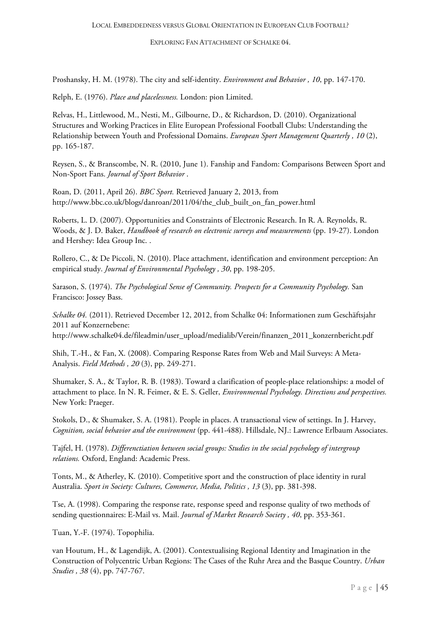Proshansky, H. M. (1978). The city and self-identity. *Environment and Behavior , 10*, pp. 147-170.

Relph, E. (1976). *Place and placelessness.* London: pion Limited.

Relvas, H., Littlewood, M., Nesti, M., Gilbourne, D., & Richardson, D. (2010). Organizational Structures and Working Practices in Elite European Professional Football Clubs: Understanding the Relationship between Youth and Professional Domains. *European Sport Management Quarterly , 10* (2), pp. 165-187.

Reysen, S., & Branscombe, N. R. (2010, June 1). Fanship and Fandom: Comparisons Between Sport and Non-Sport Fans. *Journal of Sport Behavior* .

Roan, D. (2011, April 26). *BBC Sport.* Retrieved January 2, 2013, from http://www.bbc.co.uk/blogs/danroan/2011/04/the\_club\_built\_on\_fan\_power.html

Roberts, L. D. (2007). Opportunities and Constraints of Electronic Research. In R. A. Reynolds, R. Woods, & J. D. Baker, *Handbook of research on electronic surveys and measurements* (pp. 19-27). London and Hershey: Idea Group Inc. .

Rollero, C., & De Piccoli, N. (2010). Place attachment, identification and environment perception: An empirical study. *Journal of Environmental Psychology , 30*, pp. 198-205.

Sarason, S. (1974). *The Psychological Sense of Community. Prospects for a Community Psychology.* San Francisco: Jossey Bass.

*Schalke 04.* (2011). Retrieved December 12, 2012, from Schalke 04: Informationen zum Geschäftsjahr 2011 auf Konzernebene:

http://www.schalke04.de/fileadmin/user\_upload/medialib/Verein/finanzen\_2011\_konzernbericht.pdf

Shih, T.-H., & Fan, X. (2008). Comparing Response Rates from Web and Mail Surveys: A Meta-Analysis. *Field Methods , 20* (3), pp. 249-271.

Shumaker, S. A., & Taylor, R. B. (1983). Toward a clarification of people-place relationships: a model of attachment to place. In N. R. Feimer, & E. S. Geller, *Environmental Psychology. Directions and perspectives.* New York: Praeger.

Stokols, D., & Shumaker, S. A. (1981). People in places. A transactional view of settings. In J. Harvey, *Cognition, social behavior and the environment* (pp. 441-488). Hillsdale, NJ.: Lawrence Erlbaum Associates.

Tajfel, H. (1978). *Differenctiation between social groups: Studies in the social psychology of intergroup relations.* Oxford, England: Academic Press.

Tonts, M., & Atherley, K. (2010). Competitive sport and the construction of place identity in rural Australia. *Sport in Society: Cultures, Commerce, Media, Politics , 13* (3), pp. 381-398.

Tse, A. (1998). Comparing the response rate, response speed and response quality of two methods of sending questionnaires: E-Mail vs. Mail. *Journal of Market Research Society , 40*, pp. 353-361.

Tuan, Y.-F. (1974). Topophilia.

van Houtum, H., & Lagendijk, A. (2001). Contextualising Regional Identity and Imagination in the Construction of Polycentric Urban Regions: The Cases of the Ruhr Area and the Basque Country. *Urban Studies , 38* (4), pp. 747-767.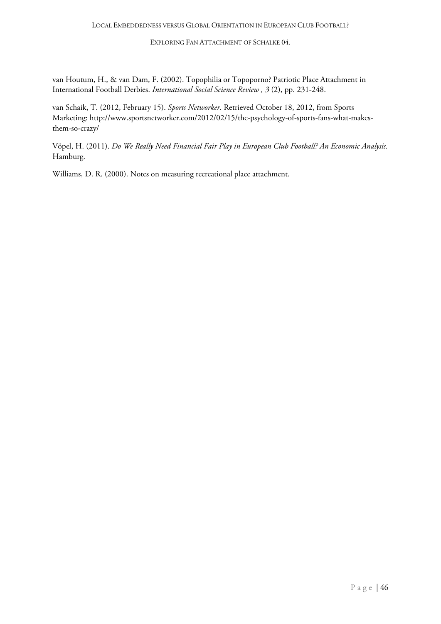van Houtum, H., & van Dam, F. (2002). Topophilia or Topoporno? Patriotic Place Attachment in International Football Derbies. *International Social Science Review , 3* (2), pp. 231-248.

van Schaik, T. (2012, February 15). *Sports Networker*. Retrieved October 18, 2012, from Sports Marketing: http://www.sportsnetworker.com/2012/02/15/the-psychology-of-sports-fans-what-makesthem-so-crazy/

Vöpel, H. (2011). *Do We Really Need Financial Fair Play in European Club Football? An Economic Analysis.* Hamburg.

Williams, D. R. (2000). Notes on measuring recreational place attachment.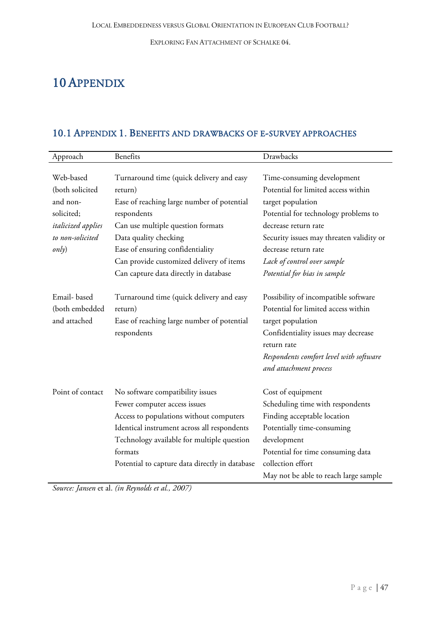# <span id="page-47-0"></span>10 APPENDIX

# <span id="page-47-1"></span>10.1 APPENDIX 1. BENEFITS AND DRAWBACKS OF E-SURVEY APPROACHES

| Approach                  | <b>Benefits</b>                                | Drawbacks                                |
|---------------------------|------------------------------------------------|------------------------------------------|
|                           |                                                |                                          |
| Web-based                 | Turnaround time (quick delivery and easy       | Time-consuming development               |
| (both solicited           | return)                                        | Potential for limited access within      |
| and non-                  | Ease of reaching large number of potential     | target population                        |
| solicited;                | respondents                                    | Potential for technology problems to     |
| <i>italicized</i> applies | Can use multiple question formats              | decrease return rate                     |
| to non-solicited          | Data quality checking                          | Security issues may threaten validity or |
| only)                     | Ease of ensuring confidentiality               | decrease return rate                     |
|                           | Can provide customized delivery of items       | Lack of control over sample              |
|                           | Can capture data directly in database          | Potential for bias in sample             |
| Email-based               | Turnaround time (quick delivery and easy       | Possibility of incompatible software     |
| (both embedded            | return)                                        | Potential for limited access within      |
| and attached              | Ease of reaching large number of potential     | target population                        |
|                           | respondents                                    | Confidentiality issues may decrease      |
|                           |                                                | return rate                              |
|                           |                                                | Respondents comfort level with software  |
|                           |                                                | and attachment process                   |
| Point of contact          | No software compatibility issues               | Cost of equipment                        |
|                           | Fewer computer access issues                   | Scheduling time with respondents         |
|                           | Access to populations without computers        | Finding acceptable location              |
|                           | Identical instrument across all respondents    | Potentially time-consuming               |
|                           | Technology available for multiple question     | development                              |
|                           | formats                                        | Potential for time consuming data        |
|                           | Potential to capture data directly in database | collection effort                        |
|                           |                                                | May not be able to reach large sample    |

*Source: Jansen* et al. *(in Reynolds et al., 2007)*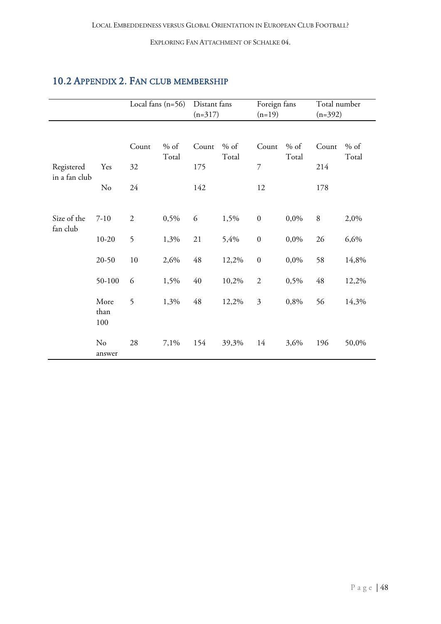## <span id="page-48-0"></span>10.2 APPENDIX 2. FAN CLUB MEMBERSHIP

|                             |                     |                   | Local fans $(n=56)$ | Distant fans<br>$(n=317)$ |                 | Foreign fans<br>$(n=19)$ |                 | Total number<br>$(n=392)$ |                 |
|-----------------------------|---------------------|-------------------|---------------------|---------------------------|-----------------|--------------------------|-----------------|---------------------------|-----------------|
| Registered<br>in a fan club | Yes<br>No           | Count<br>32<br>24 | $%$ of<br>Total     | Count<br>175<br>142       | $%$ of<br>Total | Count<br>7<br>12         | $%$ of<br>Total | Count<br>214<br>178       | $%$ of<br>Total |
| Size of the<br>fan club     | $7 - 10$            | $\overline{2}$    | 0,5%                | 6                         | 1,5%            | $\boldsymbol{0}$         | 0,0%            | 8                         | 2,0%            |
|                             | $10 - 20$           | 5                 | 1,3%                | 21                        | 5,4%            | $\boldsymbol{0}$         | 0,0%            | 26                        | 6,6%            |
|                             | $20 - 50$           | $10\,$            | 2,6%                | 48                        | 12,2%           | $\boldsymbol{0}$         | 0,0%            | 58                        | 14,8%           |
|                             | 50-100              | 6                 | 1,5%                | 40                        | 10,2%           | $\overline{2}$           | 0,5%            | 48                        | 12,2%           |
|                             | More<br>than<br>100 | 5                 | 1,3%                | 48                        | 12,2%           | 3                        | 0,8%            | 56                        | 14,3%           |
|                             | No<br>answer        | 28                | 7,1%                | 154                       | 39,3%           | 14                       | 3,6%            | 196                       | 50,0%           |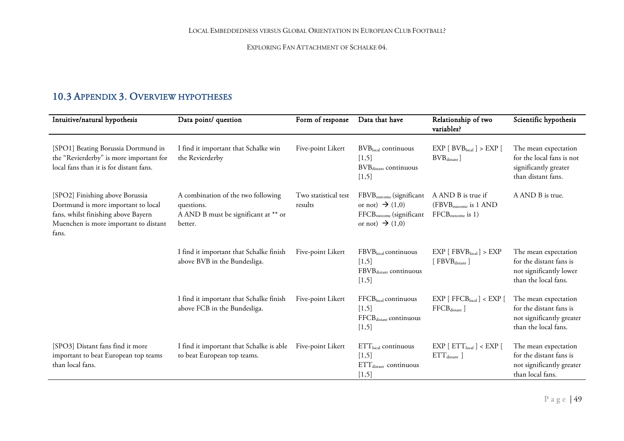### 10.3 APPENDIX 3. OVERVIEW HYPOTHESES

<span id="page-49-0"></span>

| Intuitive/natural hypothesis                                                                                                                                    | Data point/ question                                                                                | Form of response                | Data that have                                                                                                                             | Relationship of two<br>variables?                                                 | Scientific hypothesis                                                                                |
|-----------------------------------------------------------------------------------------------------------------------------------------------------------------|-----------------------------------------------------------------------------------------------------|---------------------------------|--------------------------------------------------------------------------------------------------------------------------------------------|-----------------------------------------------------------------------------------|------------------------------------------------------------------------------------------------------|
| [SPO1] Beating Borussia Dortmund in<br>the "Revierderby" is more important for<br>local fans than it is for distant fans.                                       | I find it important that Schalke win<br>the Revierderby                                             | Five-point Likert               | BVBlocal continuous<br>[1,5]<br>BVB <sub>distant</sub> continuous<br>[1,5]                                                                 | EXP [ BVB <sub>local</sub> ] > EXP [<br>BVB <sub>distance</sub>                   | The mean expectation<br>for the local fans is not<br>significantly greater<br>than distant fans.     |
| [SPO2] Finishing above Borussia<br>Dortmund is more important to local<br>fans, whilst finishing above Bayern<br>Muenchen is more important to distant<br>fans. | A combination of the two following<br>questions.<br>A AND B must be significant at ** or<br>better. | Two statistical test<br>results | FBVB <sub>outcome</sub> (significant<br>or not) $\rightarrow$ (1,0)<br>FFCB <sub>outcome</sub> (significant<br>or not) $\rightarrow$ (1,0) | A AND B is true if<br>(FBVB <sub>outcome</sub> is 1 AND<br>$FFCB_{outcome}$ is 1) | A AND B is true.                                                                                     |
|                                                                                                                                                                 | I find it important that Schalke finish<br>above BVB in the Bundesliga.                             | Five-point Likert               | FBVBlocal continuous<br>[1,5]<br>FBVBdistant continuous<br>[1,5]                                                                           | EXP [FBVB <sub>local</sub> ] > EXP<br>[FBVBdistant]                               | The mean expectation<br>for the distant fans is<br>not significantly lower<br>than the local fans.   |
|                                                                                                                                                                 | I find it important that Schalke finish<br>above FCB in the Bundesliga.                             | Five-point Likert               | $FFCBlocal$ continuous<br>[1,5]<br>FFCB <sub>distant</sub> continuous<br>[1,5]                                                             | $EXP$ [ $FFCB$ <sub>local</sub> ] < $EXP$ [<br>FFCB <sub>distance</sub>           | The mean expectation<br>for the distant fans is<br>not significantly greater<br>than the local fans. |
| [SPO3] Distant fans find it more<br>important to beat European top teams<br>than local fans.                                                                    | I find it important that Schalke is able<br>to beat European top teams.                             | Five-point Likert               | $ETTlocal$ continuous<br>[1,5]<br>$ETTdistant$ continuous<br>[1,5]                                                                         | EXP [ ETT <sub>local</sub> ] < EXP [<br>$ETT_{\text{distant}}$                    | The mean expectation<br>for the distant fans is<br>not significantly greater<br>than local fans.     |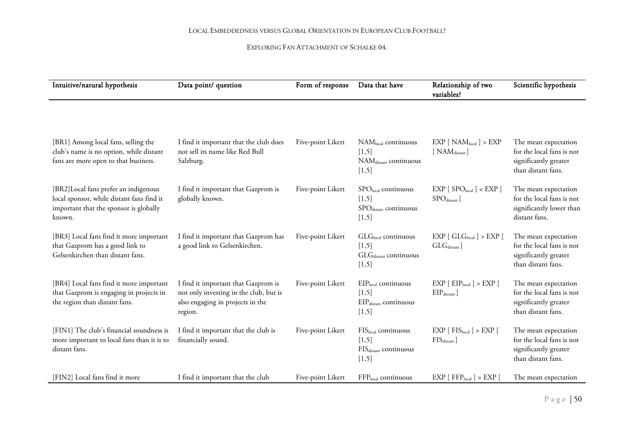| Intuitive/natural hypothesis                                                                                                           | Data point/ question                                                                                                         | Form of response  | Data that have                                                                        | Relationship of two<br>variables?                                                | Scientific hypothesis                                                                            |
|----------------------------------------------------------------------------------------------------------------------------------------|------------------------------------------------------------------------------------------------------------------------------|-------------------|---------------------------------------------------------------------------------------|----------------------------------------------------------------------------------|--------------------------------------------------------------------------------------------------|
|                                                                                                                                        |                                                                                                                              |                   |                                                                                       |                                                                                  |                                                                                                  |
| [BR1] Among local fans, selling the<br>club's name is no option, while distant<br>fans are more open to that business.                 | I find it important that the club does<br>not sell its name like Red Bull<br>Salzburg.                                       | Five-point Likert | $NAMlocal$ continuous<br>[1,5]<br>NAM <sub>distant</sub> continuous<br>[1,5]          | EXP [NAM <sub>local</sub> ] > EXP<br>[ NAM <sub>distance</sub> ]                 | The mean expectation<br>for the local fans is not<br>significantly greater<br>than distant fans. |
| [BR2] Local fans prefer an indigenous<br>local sponsor, while distant fans find it<br>important that the sponsor is globally<br>known. | I find it important that Gazprom is<br>globally known.                                                                       | Five-point Likert | SPOlocal continuous<br>[1,5]<br>SPO <sub>distant</sub> continuous<br>[1,5]            | EXP [SPO <sub>local</sub> ] < EXP [<br>$SPOdistance$ ]                           | The mean expectation<br>for the local fans is not<br>significantly lower than<br>distant fans.   |
| [BR3] Local fans find it more important<br>that Gazprom has a good link to<br>Gelsenkirchen than distant fans.                         | I find it important that Gazprom has<br>a good link to Gelsenkirchen.                                                        | Five-point Likert | GLGlocal continuous<br>[1,5]<br>$\mathrm{GLG}_{\mathrm{distant}}$ continuous<br>[1,5] | EXP [ GLG <sub>local</sub> ] > EXP [<br>GLG <sub>distant</sub>                   | The mean expectation<br>for the local fans is not<br>significantly greater<br>than distant fans. |
| [BR4] Local fans find it more important<br>that Gazprom is engaging in projects in<br>the region than distant fans.                    | I find it important that Gazprom is<br>not only investing in the club, but is<br>also engaging in projects in the<br>region. | Five-point Likert | EIPlocal continuous<br>[1,5]<br>EIP <sub>distant</sub> continuous<br>[1,5]            | $\text{EXP}$ [ $\text{EIP}_{\text{local}}$ ] $> \text{EXP}$ [<br>$EIPdistance$ ] | The mean expectation<br>for the local fans is not<br>significantly greater<br>than distant fans. |
| [FIN1] The club's financial soundness is<br>more important to local fans than it is to<br>distant fans.                                | I find it important that the club is<br>financially sound.                                                                   | Five-point Likert | $FISlocal$ continuous<br>[1,5]<br>$\rm FIS_{\rm distant}$ continuous<br>[1,5]         | EXP [FIS <sub>local</sub> ] > EXP [<br>$\rm FIS_{distant}$ ]                     | The mean expectation<br>for the local fans is not<br>significantly greater<br>than distant fans. |
| [FIN2] Local fans find it more                                                                                                         | I find it important that the club                                                                                            | Five-point Likert | FFPlocal continuous                                                                   | EXP [ FFP <sub>local</sub> ] > EXP [                                             | The mean expectation                                                                             |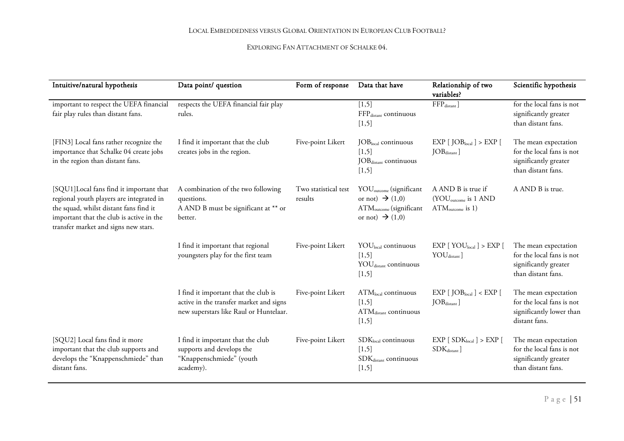| Intuitive/natural hypothesis                                                                                                                                                                                      | Data point/ question                                                                                                      | Form of response                | Data that have                                                                                                                           | Relationship of two<br>variables?                                            | Scientific hypothesis                                                                            |
|-------------------------------------------------------------------------------------------------------------------------------------------------------------------------------------------------------------------|---------------------------------------------------------------------------------------------------------------------------|---------------------------------|------------------------------------------------------------------------------------------------------------------------------------------|------------------------------------------------------------------------------|--------------------------------------------------------------------------------------------------|
| important to respect the UEFA financial<br>fair play rules than distant fans.                                                                                                                                     | respects the UEFA financial fair play<br>rules.                                                                           |                                 | [1,5]<br>FFP <sub>distant</sub> continuous<br>$[1,5]$                                                                                    | $FFPdistant$ ]                                                               | for the local fans is not<br>significantly greater<br>than distant fans.                         |
| [FIN3] Local fans rather recognize the<br>importance that Schalke 04 create jobs<br>in the region than distant fans.                                                                                              | I find it important that the club<br>creates jobs in the region.                                                          | Five-point Likert               | $JOBlocal$ continuous<br>[1,5]<br>JOB <sub>distant</sub> continuous<br>$[1,5]$                                                           | EXP [JOB <sub>local</sub> ] > EXP [<br>$JOBdistant$ ]                        | The mean expectation<br>for the local fans is not<br>significantly greater<br>than distant fans. |
| [SQU1]Local fans find it important that<br>regional youth players are integrated in<br>the squad, whilst distant fans find it<br>important that the club is active in the<br>transfer market and signs new stars. | A combination of the two following<br>questions.<br>A AND B must be significant at ** or<br>better.                       | Two statistical test<br>results | YOU <sub>outcome</sub> (significant<br>or not) $\rightarrow$ (1,0)<br>ATM <sub>outcome</sub> (significant<br>or not) $\rightarrow$ (1,0) | A AND B is true if<br>(YOU <sub>outcome</sub> is 1 AND<br>$ATMoutcome$ is 1) | A AND B is true.                                                                                 |
|                                                                                                                                                                                                                   | I find it important that regional<br>youngsters play for the first team                                                   | Five-point Likert               | $\text{YOU}_{\text{local}}$ continuous<br>$[1,5]$<br>YOU <sub>distant</sub> continuous<br>$[1,5]$                                        | EXP [ YOU <sub>local</sub> ] > EXP [<br>$\text{YOU}_{\text{distant}}$        | The mean expectation<br>for the local fans is not<br>significantly greater<br>than distant fans. |
|                                                                                                                                                                                                                   | I find it important that the club is<br>active in the transfer market and signs<br>new superstars like Raul or Huntelaar. | Five-point Likert               | ATM <sub>local</sub> continuous<br>$[1,5]$<br>ATM <sub>distant</sub> continuous<br>[1,5]                                                 | EXP [JOB <sub>local</sub> ] < EXP [<br>$JOBdistance$ ]                       | The mean expectation<br>for the local fans is not<br>significantly lower than<br>distant fans.   |
| [SQU2] Local fans find it more<br>important that the club supports and<br>develops the "Knappenschmiede" than<br>distant fans.                                                                                    | I find it important that the club<br>supports and develops the<br>"Knappenschmiede" (youth<br>academy).                   | Five-point Likert               | $SDKlocal$ continuous<br>$[1,5]$<br>SDK <sub>distant</sub> continuous<br>[1,5]                                                           | EXP [SDK <sub>local</sub> ] > EXP [<br>$\rm SDK_{distant}$ ]                 | The mean expectation<br>for the local fans is not<br>significantly greater<br>than distant fans. |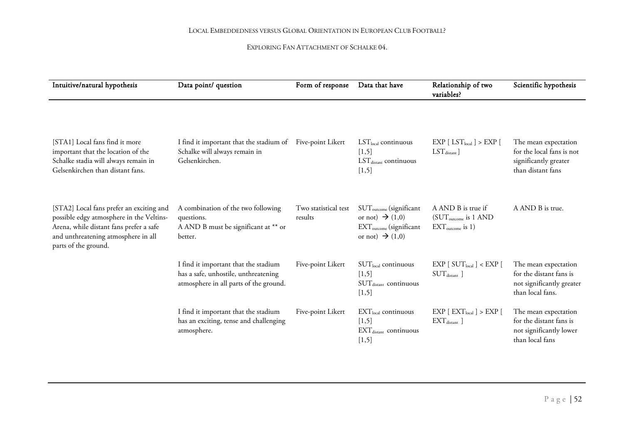| Intuitive/natural hypothesis                                                                                                                                                                   | Data point/ question                                                                                                   | Form of response                | Data that have                                                                                                                           | Relationship of two<br>variables?                                                | Scientific hypothesis                                                                            |
|------------------------------------------------------------------------------------------------------------------------------------------------------------------------------------------------|------------------------------------------------------------------------------------------------------------------------|---------------------------------|------------------------------------------------------------------------------------------------------------------------------------------|----------------------------------------------------------------------------------|--------------------------------------------------------------------------------------------------|
| [STA1] Local fans find it more<br>important that the location of the<br>Schalke stadia will always remain in<br>Gelsenkirchen than distant fans.                                               | I find it important that the stadium of Five-point Likert<br>Schalke will always remain in<br>Gelsenkirchen.           |                                 | $LSTlocal$ continuous<br>[1,5]<br>$LSTdistant$ continuous<br>[1,5]                                                                       | $\text{EXP}$ [ $\text{LST}_{\text{local}}$ ] $> \text{EXP}$ [<br>$LSTdistance$ ] | The mean expectation<br>for the local fans is not<br>significantly greater<br>than distant fans  |
| [STA2] Local fans prefer an exciting and<br>possible edgy atmosphere in the Veltins-<br>Arena, while distant fans prefer a safe<br>and unthreatening atmosphere in all<br>parts of the ground. | A combination of the two following<br>questions.<br>A AND B must be significant at ** or<br>better.                    | Two statistical test<br>results | SUT <sub>outcome</sub> (significant<br>or not) $\rightarrow$ (1,0)<br>EXT <sub>outcome</sub> (significant<br>or not) $\rightarrow$ (1,0) | A AND B is true if<br>(SUT <sub>outcome</sub> is 1 AND<br>$EXT_{outcome}$ is 1)  | A AND B is true.                                                                                 |
|                                                                                                                                                                                                | I find it important that the stadium<br>has a safe, unhostile, unthreatening<br>atmosphere in all parts of the ground. | Five-point Likert               | $SUTlocal$ continuous<br>[1,5]<br>$SUTdistance$ continuous<br>[1,5]                                                                      | EXP [ SUT <sub>local</sub> ] < EXP [<br>SUT <sub>distance</sub>                  | The mean expectation<br>for the distant fans is<br>not significantly greater<br>than local fans. |
|                                                                                                                                                                                                | I find it important that the stadium<br>has an exciting, tense and challenging<br>atmosphere.                          | Five-point Likert               | EXT <sub>local</sub> continuous<br>$[1,5]$<br>$EXT_{\text{distant}}$ continuous<br>[1,5]                                                 | $EXP [EXT_{local}] > EXP [$<br>$EXT_{\text{distant}}$ ]                          | The mean expectation<br>for the distant fans is<br>not significantly lower<br>than local fans    |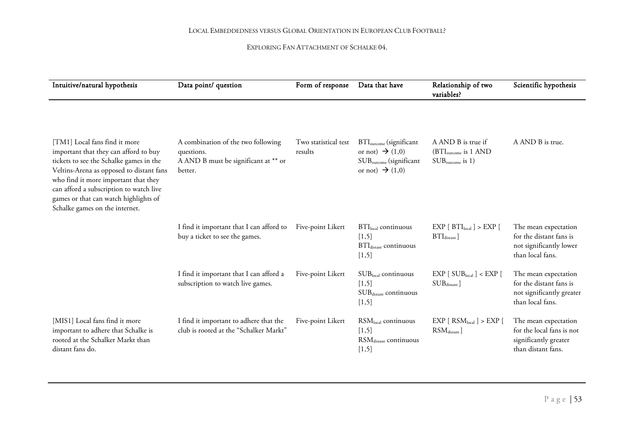| Intuitive/natural hypothesis                                                                                                                                                                                                                                                                                                | Data point/ question                                                                                | Form of response                | Data that have                                                                                                                           | Relationship of two<br>variables?                                               | Scientific hypothesis                                                                            |  |
|-----------------------------------------------------------------------------------------------------------------------------------------------------------------------------------------------------------------------------------------------------------------------------------------------------------------------------|-----------------------------------------------------------------------------------------------------|---------------------------------|------------------------------------------------------------------------------------------------------------------------------------------|---------------------------------------------------------------------------------|--------------------------------------------------------------------------------------------------|--|
|                                                                                                                                                                                                                                                                                                                             |                                                                                                     |                                 |                                                                                                                                          |                                                                                 |                                                                                                  |  |
| [TM1] Local fans find it more<br>important that they can afford to buy<br>tickets to see the Schalke games in the<br>Veltins-Arena as opposed to distant fans<br>who find it more important that they<br>can afford a subscription to watch live<br>games or that can watch highlights of<br>Schalke games on the internet. | A combination of the two following<br>questions.<br>A AND B must be significant at ** or<br>better. | Two statistical test<br>results | BTI <sub>outcome</sub> (significant<br>or not) $\rightarrow$ (1,0)<br>SUB <sub>outcome</sub> (significant<br>or not) $\rightarrow$ (1,0) | A AND B is true if<br>(BTI <sub>outcome</sub> is 1 AND<br>$SUB_{outcome}$ is 1) | A AND B is true.                                                                                 |  |
|                                                                                                                                                                                                                                                                                                                             | I find it important that I can afford to<br>buy a ticket to see the games.                          | Five-point Likert               | $BTIlocal$ continuous<br>[1,5]<br>BTI <sub>distant</sub> continuous<br>[1,5]                                                             | EXP [ BTI <sub>local</sub> ] > EXP [<br>$BTI_{\text{distant}}$                  | The mean expectation<br>for the distant fans is<br>not significantly lower<br>than local fans.   |  |
|                                                                                                                                                                                                                                                                                                                             | I find it important that I can afford a<br>subscription to watch live games.                        | Five-point Likert               | SUBlocal continuous<br>[1,5]<br>SUBdistant continuous<br>[1,5]                                                                           | EXP [SUB <sub>local</sub> ] < EXP [<br>$SUB_{distance}$ ]                       | The mean expectation<br>for the distant fans is<br>not significantly greater<br>than local fans. |  |
| [MIS1] Local fans find it more<br>important to adhere that Schalke is<br>rooted at the Schalker Markt than<br>distant fans do.                                                                                                                                                                                              | I find it important to adhere that the<br>club is rooted at the "Schalker Markt"                    | Five-point Likert               | RSM <sub>local</sub> continuous<br>[1,5]<br>RSM <sub>distant</sub> continuous<br>$[1,5]$                                                 | EXP [ RSM <sub>local</sub> ] > EXP [<br>$\text{RSM}_\text{distant}$ ]           | The mean expectation<br>for the local fans is not<br>significantly greater<br>than distant fans. |  |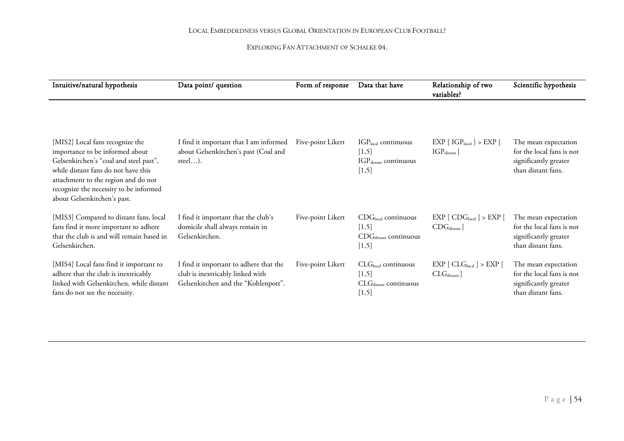| Intuitive/natural hypothesis                                                                                                                                                                                                                                        | Data point/ question                                                                                              |                   | Form of response<br>Data that have<br>variables?                             |                                                                 | Scientific hypothesis                                                                            |
|---------------------------------------------------------------------------------------------------------------------------------------------------------------------------------------------------------------------------------------------------------------------|-------------------------------------------------------------------------------------------------------------------|-------------------|------------------------------------------------------------------------------|-----------------------------------------------------------------|--------------------------------------------------------------------------------------------------|
| [MIS2] Local fans recognize the<br>importance to be informed about<br>Gelsenkirchen's "coal and steel past",<br>while distant fans do not have this<br>attachment to the region and do not<br>recognize the necessity to be informed<br>about Gelsenkirchen's past. | I find it important that I am informed<br>about Gelsenkirchen's past (Coal and<br>steel).                         | Five-point Likert | $IGPlocal$ continuous<br>[1,5]<br>IGP <sub>distant</sub> continuous<br>[1,5] | EXP [IGP <sub>local</sub> ] > EXP [<br>$IGP_{\text{distant}}$ ] | The mean expectation<br>for the local fans is not<br>significantly greater<br>than distant fans. |
| [MIS3] Compared to distant fans, local<br>fans find it more important to adhere<br>that the club is and will remain based in<br>Gelsenkirchen.                                                                                                                      | I find it important that the club's<br>domicile shall always remain in<br>Gelsenkirchen.                          | Five-point Likert | $CDGlocal$ continuous<br>[1,5]<br>$CDGdistant$ continuous<br>[1,5]           | EXP [CDG <sub>local</sub> ] > EXP [<br>CDG <sub>distance</sub>  | The mean expectation<br>for the local fans is not<br>significantly greater<br>than distant fans. |
| [MIS4] Local fans find it important to<br>adhere that the club is inextricably<br>linked with Gelsenkirchen, while distant<br>fans do not see the necessity.                                                                                                        | I find it important to adhere that the<br>club is inextricably linked with<br>Gelsenkirchen and the "Kohlenpott". | Five-point Likert | $CLGlocal$ continuous<br>[1,5]<br>CLG <sub>distant</sub> continuous<br>[1,5] | EXP [ CLG <sub>local</sub> ] > EXP [<br>$CLGdistance$ ]         | The mean expectation<br>for the local fans is not<br>significantly greater<br>than distant fans. |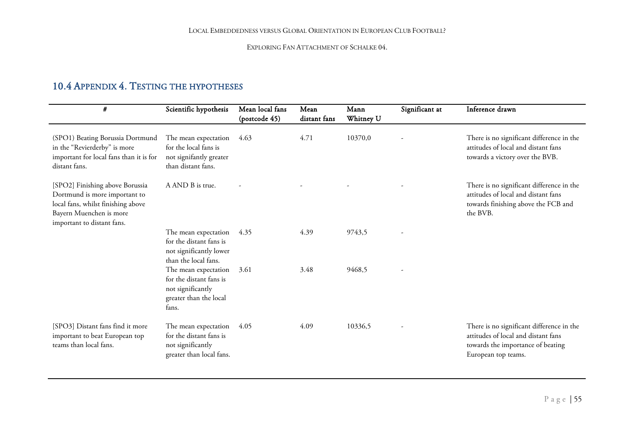### 10.4 APPENDIX 4. TESTING THE HYPOTHESES

<span id="page-55-0"></span>

| #                                                                                                                                                               | Scientific hypothesis                                                                                   | Mean local fans<br>(postcode 45) | Mean<br>distant fans | Mann<br>Whitney U | Significant at | Inference drawn                                                                                                                              |
|-----------------------------------------------------------------------------------------------------------------------------------------------------------------|---------------------------------------------------------------------------------------------------------|----------------------------------|----------------------|-------------------|----------------|----------------------------------------------------------------------------------------------------------------------------------------------|
| (SPO1) Beating Borussia Dortmund<br>in the "Revierderby" is more<br>important for local fans than it is for<br>distant fans.                                    | The mean expectation<br>for the local fans is<br>not signifantly greater<br>than distant fans.          | 4.63                             | 4.71                 | 10370,0           |                | There is no significant difference in the<br>attitudes of local and distant fans<br>towards a victory over the BVB.                          |
| [SPO2] Finishing above Borussia<br>Dortmund is more important to<br>local fans, whilst finishing above<br>Bayern Muenchen is more<br>important to distant fans. | A AND B is true.                                                                                        |                                  |                      |                   |                | There is no significant difference in the<br>attitudes of local and distant fans<br>towards finishing above the FCB and<br>the BVB.          |
|                                                                                                                                                                 | The mean expectation<br>for the distant fans is<br>not significantly lower<br>than the local fans.      | 4.35                             | 4.39                 | 9743,5            |                |                                                                                                                                              |
|                                                                                                                                                                 | The mean expectation<br>for the distant fans is<br>not significantly<br>greater than the local<br>fans. | 3.61                             | 3.48                 | 9468.5            |                |                                                                                                                                              |
| [SPO3] Distant fans find it more<br>important to beat European top<br>teams than local fans.                                                                    | The mean expectation<br>for the distant fans is<br>not significantly<br>greater than local fans.        | 4.05                             | 4.09                 | 10336,5           |                | There is no significant difference in the<br>attitudes of local and distant fans<br>towards the importance of beating<br>European top teams. |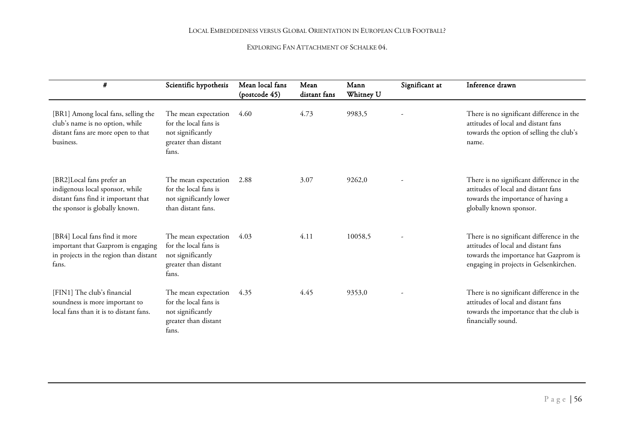| #                                                                                                                                     | Scientific hypothesis                                                                               | Mean local fans<br>(postcode 45) | Mean<br>distant fans | Mann<br>Whitney U | Significant at | Inference drawn                                                                                                                                                     |
|---------------------------------------------------------------------------------------------------------------------------------------|-----------------------------------------------------------------------------------------------------|----------------------------------|----------------------|-------------------|----------------|---------------------------------------------------------------------------------------------------------------------------------------------------------------------|
| [BR1] Among local fans, selling the<br>club's name is no option, while<br>distant fans are more open to that<br>business.             | The mean expectation<br>for the local fans is<br>not significantly<br>greater than distant<br>fans. | 4.60                             | 4.73                 | 9983,5            |                | There is no significant difference in the<br>attitudes of local and distant fans<br>towards the option of selling the club's<br>name.                               |
| [BR2]Local fans prefer an<br>indigenous local sponsor, while<br>distant fans find it important that<br>the sponsor is globally known. | The mean expectation<br>for the local fans is<br>not significantly lower<br>than distant fans.      | 2.88                             | 3.07                 | 9262,0            |                | There is no significant difference in the<br>attitudes of local and distant fans<br>towards the importance of having a<br>globally known sponsor.                   |
| [BR4] Local fans find it more<br>important that Gazprom is engaging<br>in projects in the region than distant<br>fans.                | The mean expectation<br>for the local fans is<br>not significantly<br>greater than distant<br>fans. | 4.03                             | 4.11                 | 10058,5           |                | There is no significant difference in the<br>attitudes of local and distant fans<br>towards the importance hat Gazprom is<br>engaging in projects in Gelsenkirchen. |
| [FIN1] The club's financial<br>soundness is more important to<br>local fans than it is to distant fans.                               | The mean expectation<br>for the local fans is<br>not significantly<br>greater than distant<br>fans. | 4.35                             | 4.45                 | 9353,0            |                | There is no significant difference in the<br>attitudes of local and distant fans<br>towards the importance that the club is<br>financially sound.                   |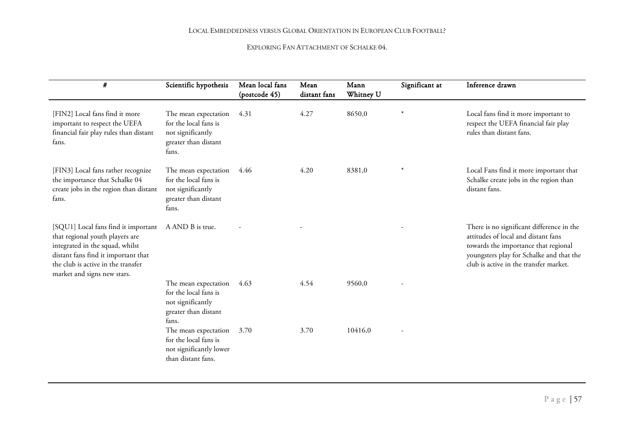| $\#$                                                                                                                                                                                                                  | Scientific hypothesis                                                                               | Mean local fans<br>(postcode 45) | Mean<br>distant fans | Mann<br>Whitney U | Significant at | Inference drawn                                                                                                                                                                                                |
|-----------------------------------------------------------------------------------------------------------------------------------------------------------------------------------------------------------------------|-----------------------------------------------------------------------------------------------------|----------------------------------|----------------------|-------------------|----------------|----------------------------------------------------------------------------------------------------------------------------------------------------------------------------------------------------------------|
| [FIN2] Local fans find it more<br>important to respect the UEFA<br>financial fair play rules than distant<br>fans.                                                                                                    | The mean expectation<br>for the local fans is<br>not significantly<br>greater than distant<br>fans. | 4.31                             | 4.27                 | 8650,0            | $\ast$         | Local fans find it more important to<br>respect the UEFA financial fair play<br>rules than distant fans.                                                                                                       |
| [FIN3] Local fans rather recognize<br>the importance that Schalke 04<br>create jobs in the region than distant<br>fans.                                                                                               | The mean expectation<br>for the local fans is<br>not significantly<br>greater than distant<br>fans. | 4.46                             | 4.20                 | 8381,0            |                | Local Fans find it more important that<br>Schalke create jobs in the region than<br>distant fans.                                                                                                              |
| [SQU1] Local fans find it important<br>that regional youth players are<br>integrated in the squad, whilst<br>distant fans find it important that<br>the club is active in the transfer<br>market and signs new stars. | A AND B is true.                                                                                    |                                  |                      |                   |                | There is no significant difference in the<br>attitudes of local and distant fans<br>towards the importance that regional<br>youngsters play for Schalke and that the<br>club is active in the transfer market. |
|                                                                                                                                                                                                                       | The mean expectation<br>for the local fans is<br>not significantly<br>greater than distant<br>fans. | 4.63                             | 4.54                 | 9560,0            |                |                                                                                                                                                                                                                |
|                                                                                                                                                                                                                       | The mean expectation<br>for the local fans is<br>not significantly lower<br>than distant fans.      | 3.70                             | 3.70                 | 10416,0           |                |                                                                                                                                                                                                                |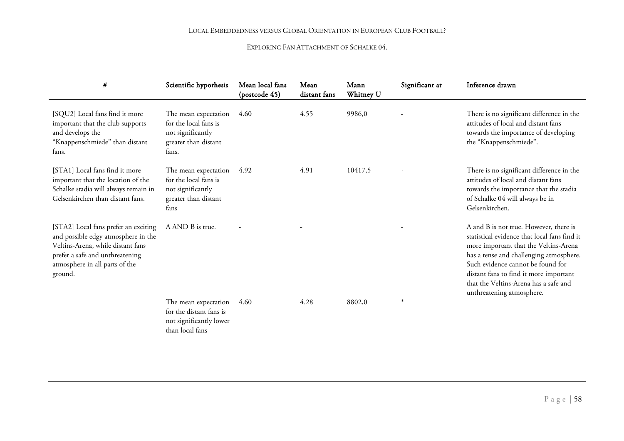| #                                                                                                                                                                                                | Scientific hypothesis                                                                               | Mean local fans<br>(postcode 45) | Mean<br>distant fans | Mann<br>Whitney U | Significant at | Inference drawn                                                                                                                                                                                                                                                                                                                 |
|--------------------------------------------------------------------------------------------------------------------------------------------------------------------------------------------------|-----------------------------------------------------------------------------------------------------|----------------------------------|----------------------|-------------------|----------------|---------------------------------------------------------------------------------------------------------------------------------------------------------------------------------------------------------------------------------------------------------------------------------------------------------------------------------|
| [SQU2] Local fans find it more<br>important that the club supports<br>and develops the<br>"Knappenschmiede" than distant<br>fans.                                                                | The mean expectation<br>for the local fans is<br>not significantly<br>greater than distant<br>fans. | 4.60                             | 4.55                 | 9986,0            |                | There is no significant difference in the<br>attitudes of local and distant fans<br>towards the importance of developing<br>the "Knappenschmiede".                                                                                                                                                                              |
| [STA1] Local fans find it more<br>important that the location of the<br>Schalke stadia will always remain in<br>Gelsenkirchen than distant fans.                                                 | The mean expectation<br>for the local fans is<br>not significantly<br>greater than distant<br>fans  | 4.92                             | 4.91                 | 10417,5           |                | There is no significant difference in the<br>attitudes of local and distant fans<br>towards the importance that the stadia<br>of Schalke 04 will always be in<br>Gelsenkirchen.                                                                                                                                                 |
| [STA2] Local fans prefer an exciting<br>and possible edgy atmosphere in the<br>Veltins-Arena, while distant fans<br>prefer a safe and unthreatening<br>atmosphere in all parts of the<br>ground. | A AND B is true.                                                                                    |                                  |                      |                   |                | A and B is not true. However, there is<br>statistical evidence that local fans find it<br>more important that the Veltins-Arena<br>has a tense and challenging atmosphere.<br>Such evidence cannot be found for<br>distant fans to find it more important<br>that the Veltins-Arena has a safe and<br>unthreatening atmosphere. |
|                                                                                                                                                                                                  | The mean expectation<br>for the distant fans is<br>not significantly lower<br>than local fans       | 4.60                             | 4.28                 | 8802,0            |                |                                                                                                                                                                                                                                                                                                                                 |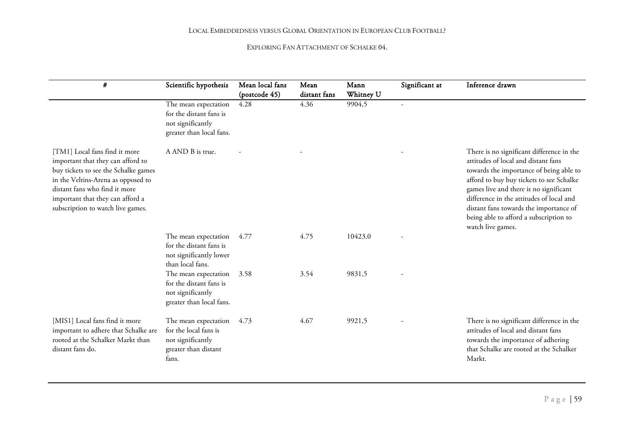| #                                                                                                                                                                                                                                                          | Scientific hypothesis                                                                               | Mean local fans<br>(postcode 45) | Mean<br>distant fans | Mann<br>Whitney U | Significant at | Inference drawn                                                                                                                                                                                                                                                                                                                                                        |
|------------------------------------------------------------------------------------------------------------------------------------------------------------------------------------------------------------------------------------------------------------|-----------------------------------------------------------------------------------------------------|----------------------------------|----------------------|-------------------|----------------|------------------------------------------------------------------------------------------------------------------------------------------------------------------------------------------------------------------------------------------------------------------------------------------------------------------------------------------------------------------------|
|                                                                                                                                                                                                                                                            | The mean expectation<br>for the distant fans is<br>not significantly<br>greater than local fans.    | 4.28                             | 4.36                 | 9904,5            |                |                                                                                                                                                                                                                                                                                                                                                                        |
| [TM1] Local fans find it more<br>important that they can afford to<br>buy tickets to see the Schalke games<br>in the Veltins-Arena as opposed to<br>distant fans who find it more<br>important that they can afford a<br>subscription to watch live games. | A AND B is true.                                                                                    |                                  |                      |                   |                | There is no significant difference in the<br>attitudes of local and distant fans<br>towards the importance of being able to<br>afford to buy buy tickets to see Schalke<br>games live and there is no significant<br>difference in the attitudes of local and<br>distant fans towards the importance of<br>being able to afford a subscription to<br>watch live games. |
|                                                                                                                                                                                                                                                            | The mean expectation<br>for the distant fans is<br>not significantly lower<br>than local fans.      | 4.77                             | 4.75                 | 10423,0           |                |                                                                                                                                                                                                                                                                                                                                                                        |
|                                                                                                                                                                                                                                                            | The mean expectation<br>for the distant fans is<br>not significantly<br>greater than local fans.    | 3.58                             | 3.54                 | 9831,5            |                |                                                                                                                                                                                                                                                                                                                                                                        |
| [MIS1] Local fans find it more<br>important to adhere that Schalke are<br>rooted at the Schalker Markt than<br>distant fans do.                                                                                                                            | The mean expectation<br>for the local fans is<br>not significantly<br>greater than distant<br>fans. | 4.73                             | 4.67                 | 9921,5            |                | There is no significant difference in the<br>attitudes of local and distant fans<br>towards the importance of adhering<br>that Schalke are rooted at the Schalker<br>Markt.                                                                                                                                                                                            |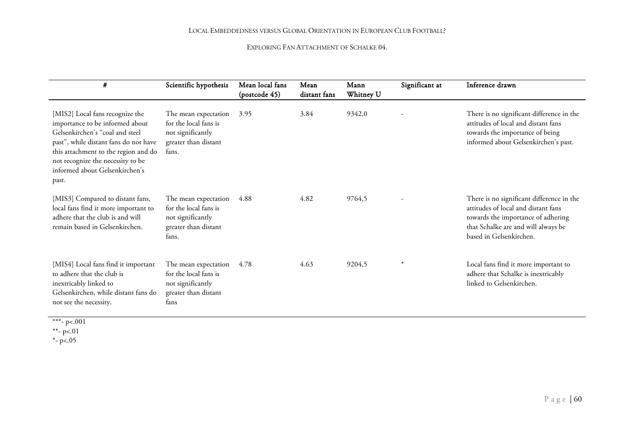| #                                                                                                                                                                                                                                                                      | Scientific hypothesis                                                                               | Mean local fans<br>(postcode 45) | Mean<br>distant fans | Mann<br>Whitney U | Significant at | Inference drawn                                                                                                                                                                          |
|------------------------------------------------------------------------------------------------------------------------------------------------------------------------------------------------------------------------------------------------------------------------|-----------------------------------------------------------------------------------------------------|----------------------------------|----------------------|-------------------|----------------|------------------------------------------------------------------------------------------------------------------------------------------------------------------------------------------|
| [MIS2] Local fans recognize the<br>importance to be informed about<br>Gelsenkirchen's "coal and steel<br>past", while distant fans do not have<br>this attachment to the region and do<br>not recognize the necessity to be<br>informed about Gelsenkirchen's<br>past. | The mean expectation<br>for the local fans is<br>not significantly<br>greater than distant<br>fans. | 3.95                             | 3.84                 | 9342,0            |                | There is no significant difference in the<br>attitudes of local and distant fans<br>towards the importance of being<br>informed about Gelsenkirchen's past.                              |
| [MIS3] Compared to distant fans,<br>local fans find it more important to<br>adhere that the club is and will<br>remain based in Gelsenkirchen.                                                                                                                         | The mean expectation<br>for the local fans is<br>not significantly<br>greater than distant<br>fans. | 4.88                             | 4.82                 | 9764,5            |                | There is no significant difference in the<br>attitudes of local and distant fans<br>towards the importance of adhering<br>that Schalke are and will always be<br>based in Gelsenkirchen. |
| [MIS4] Local fans find it important<br>to adhere that the club is<br>inextricably linked to<br>Gelsenkirchen, while distant fans do<br>not see the necessity.                                                                                                          | The mean expectation<br>for the local fans is<br>not significantly<br>greater than distant<br>fans  | 4.78                             | 4.63                 | 9204,5            |                | Local fans find it more important to<br>adhere that Schalke is inextricably<br>linked to Gelsenkirchen.                                                                                  |

\*\*\*- p<.001

\*\*- p<.01

\*- p<.05